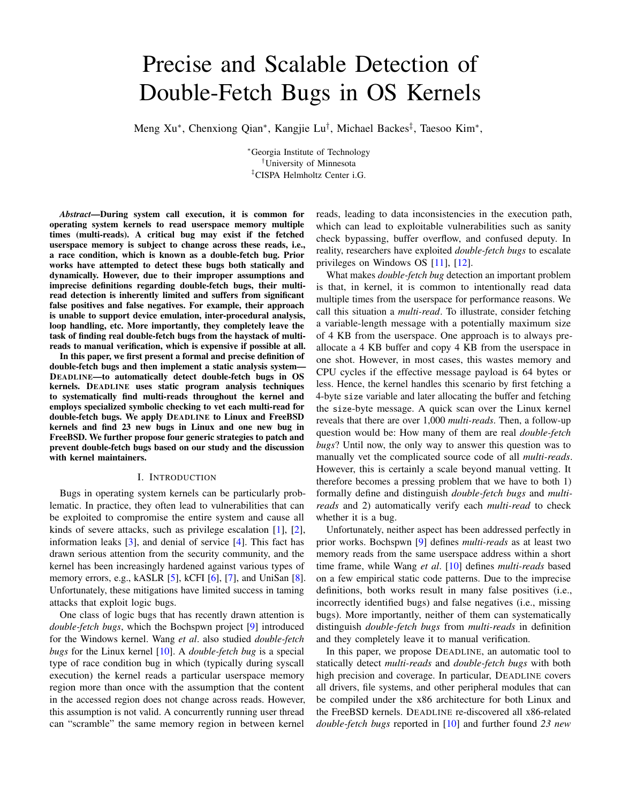# Precise and Scalable Detection of Double-Fetch Bugs in OS Kernels

Meng Xu\*, Chenxiong Qian\*, Kangjie Lu<sup>†</sup>, Michael Backes<sup>‡</sup>, Taesoo Kim\*,

<sup>∗</sup>Georgia Institute of Technology †University of Minnesota ‡CISPA Helmholtz Center i.G.

*Abstract*—During system call execution, it is common for operating system kernels to read userspace memory multiple times (multi-reads). A critical bug may exist if the fetched userspace memory is subject to change across these reads, i.e., a race condition, which is known as a double-fetch bug. Prior works have attempted to detect these bugs both statically and dynamically. However, due to their improper assumptions and imprecise definitions regarding double-fetch bugs, their multiread detection is inherently limited and suffers from significant false positives and false negatives. For example, their approach is unable to support device emulation, inter-procedural analysis, loop handling, etc. More importantly, they completely leave the task of finding real double-fetch bugs from the haystack of multireads to manual verification, which is expensive if possible at all.

In this paper, we first present a formal and precise definition of double-fetch bugs and then implement a static analysis system— DEADLINE—to automatically detect double-fetch bugs in OS kernels. DEADLINE uses static program analysis techniques to systematically find multi-reads throughout the kernel and employs specialized symbolic checking to vet each multi-read for double-fetch bugs. We apply DEADLINE to Linux and FreeBSD kernels and find 23 new bugs in Linux and one new bug in FreeBSD. We further propose four generic strategies to patch and prevent double-fetch bugs based on our study and the discussion with kernel maintainers.

#### I. INTRODUCTION

<span id="page-0-0"></span>Bugs in operating system kernels can be particularly problematic. In practice, they often lead to vulnerabilities that can be exploited to compromise the entire system and cause all kinds of severe attacks, such as privilege escalation [\[1\]](#page-12-0), [\[2\]](#page-13-0), information leaks [\[3\]](#page-13-1), and denial of service [\[4\]](#page-13-2). This fact has drawn serious attention from the security community, and the kernel has been increasingly hardened against various types of memory errors, e.g., kASLR [\[5\]](#page-13-3), kCFI [\[6\]](#page-13-4), [\[7\]](#page-13-5), and UniSan [\[8\]](#page-13-6). Unfortunately, these mitigations have limited success in taming attacks that exploit logic bugs.

One class of logic bugs that has recently drawn attention is *double-fetch bugs*, which the Bochspwn project [\[9\]](#page-13-7) introduced for the Windows kernel. Wang *et al*. also studied *double-fetch bugs* for the Linux kernel [\[10\]](#page-13-8). A *double-fetch bug* is a special type of race condition bug in which (typically during syscall execution) the kernel reads a particular userspace memory region more than once with the assumption that the content in the accessed region does not change across reads. However, this assumption is not valid. A concurrently running user thread can "scramble" the same memory region in between kernel

reads, leading to data inconsistencies in the execution path, which can lead to exploitable vulnerabilities such as sanity check bypassing, buffer overflow, and confused deputy. In reality, researchers have exploited *double-fetch bugs* to escalate privileges on Windows OS [\[11\]](#page-13-9), [\[12\]](#page-13-10).

What makes *double-fetch bug* detection an important problem is that, in kernel, it is common to intentionally read data multiple times from the userspace for performance reasons. We call this situation a *multi-read*. To illustrate, consider fetching a variable-length message with a potentially maximum size of 4 KB from the userspace. One approach is to always preallocate a 4 KB buffer and copy 4 KB from the userspace in one shot. However, in most cases, this wastes memory and CPU cycles if the effective message payload is 64 bytes or less. Hence, the kernel handles this scenario by first fetching a 4-byte size variable and later allocating the buffer and fetching the size-byte message. A quick scan over the Linux kernel reveals that there are over 1,000 *multi-reads*. Then, a follow-up question would be: How many of them are real *double-fetch bugs*? Until now, the only way to answer this question was to manually vet the complicated source code of all *multi-reads*. However, this is certainly a scale beyond manual vetting. It therefore becomes a pressing problem that we have to both 1) formally define and distinguish *double-fetch bugs* and *multireads* and 2) automatically verify each *multi-read* to check whether it is a bug.

Unfortunately, neither aspect has been addressed perfectly in prior works. Bochspwn [\[9\]](#page-13-7) defines *multi-reads* as at least two memory reads from the same userspace address within a short time frame, while Wang *et al*. [\[10\]](#page-13-8) defines *multi-reads* based on a few empirical static code patterns. Due to the imprecise definitions, both works result in many false positives (i.e., incorrectly identified bugs) and false negatives (i.e., missing bugs). More importantly, neither of them can systematically distinguish *double-fetch bugs* from *multi-reads* in definition and they completely leave it to manual verification.

In this paper, we propose DEADLINE, an automatic tool to statically detect *multi-reads* and *double-fetch bugs* with both high precision and coverage. In particular, DEADLINE covers all drivers, file systems, and other peripheral modules that can be compiled under the x86 architecture for both Linux and the FreeBSD kernels. DEADLINE re-discovered all x86-related *double-fetch bugs* reported in [\[10\]](#page-13-8) and further found *23 new*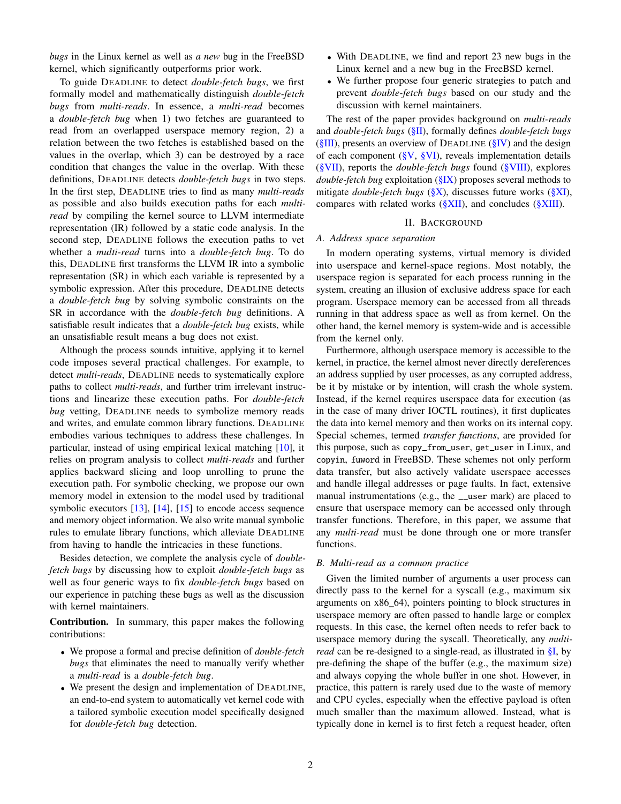*bugs* in the Linux kernel as well as *a new* bug in the FreeBSD kernel, which significantly outperforms prior work.

To guide DEADLINE to detect *double-fetch bugs*, we first formally model and mathematically distinguish *double-fetch bugs* from *multi-reads*. In essence, a *multi-read* becomes a *double-fetch bug* when 1) two fetches are guaranteed to read from an overlapped userspace memory region, 2) a relation between the two fetches is established based on the values in the overlap, which 3) can be destroyed by a race condition that changes the value in the overlap. With these definitions, DEADLINE detects *double-fetch bugs* in two steps. In the first step, DEADLINE tries to find as many *multi-reads* as possible and also builds execution paths for each *multiread* by compiling the kernel source to LLVM intermediate representation (IR) followed by a static code analysis. In the second step, DEADLINE follows the execution paths to vet whether a *multi-read* turns into a *double-fetch bug*. To do this, DEADLINE first transforms the LLVM IR into a symbolic representation (SR) in which each variable is represented by a symbolic expression. After this procedure, DEADLINE detects a *double-fetch bug* by solving symbolic constraints on the SR in accordance with the *double-fetch bug* definitions. A satisfiable result indicates that a *double-fetch bug* exists, while an unsatisfiable result means a bug does not exist.

Although the process sounds intuitive, applying it to kernel code imposes several practical challenges. For example, to detect *multi-reads*, DEADLINE needs to systematically explore paths to collect *multi-reads*, and further trim irrelevant instructions and linearize these execution paths. For *double-fetch bug* vetting, DEADLINE needs to symbolize memory reads and writes, and emulate common library functions. DEADLINE embodies various techniques to address these challenges. In particular, instead of using empirical lexical matching [\[10\]](#page-13-8), it relies on program analysis to collect *multi-reads* and further applies backward slicing and loop unrolling to prune the execution path. For symbolic checking, we propose our own memory model in extension to the model used by traditional symbolic executors  $[13]$ ,  $[14]$ ,  $[15]$  to encode access sequence and memory object information. We also write manual symbolic rules to emulate library functions, which alleviate DEADLINE from having to handle the intricacies in these functions.

Besides detection, we complete the analysis cycle of *doublefetch bugs* by discussing how to exploit *double-fetch bugs* as well as four generic ways to fix *double-fetch bugs* based on our experience in patching these bugs as well as the discussion with kernel maintainers.

Contribution. In summary, this paper makes the following contributions:

- We propose a formal and precise definition of *double-fetch bugs* that eliminates the need to manually verify whether a *multi-read* is a *double-fetch bug*.
- We present the design and implementation of DEADLINE, an end-to-end system to automatically vet kernel code with a tailored symbolic execution model specifically designed for *double-fetch bug* detection.
- With DEADLINE, we find and report 23 new bugs in the Linux kernel and a new bug in the FreeBSD kernel.
- We further propose four generic strategies to patch and prevent *double-fetch bugs* based on our study and the discussion with kernel maintainers.

The rest of the paper provides background on *multi-reads* and *double-fetch bugs* [\(§II\)](#page-1-0), formally defines *double-fetch bugs*  $(\frac{\S}{\S}III)$ , presents an overview of DEADLINE  $(\S$ IV) and the design of each component [\(§V,](#page-4-1) [§VI\)](#page-5-0), reveals implementation details [\(§VII\)](#page-8-0), reports the *double-fetch bugs* found [\(§VIII\)](#page-8-1), explores *double-fetch bug* exploitation [\(§IX\)](#page-9-0) proposes several methods to mitigate *double-fetch bugs* [\(§X\)](#page-10-0), discusses future works [\(§XI\)](#page-11-0), compares with related works [\(§XII\)](#page-12-1), and concludes [\(§XIII\)](#page-12-2).

## II. BACKGROUND

#### <span id="page-1-2"></span><span id="page-1-0"></span>*A. Address space separation*

In modern operating systems, virtual memory is divided into userspace and kernel-space regions. Most notably, the userspace region is separated for each process running in the system, creating an illusion of exclusive address space for each program. Userspace memory can be accessed from all threads running in that address space as well as from kernel. On the other hand, the kernel memory is system-wide and is accessible from the kernel only.

Furthermore, although userspace memory is accessible to the kernel, in practice, the kernel almost never directly dereferences an address supplied by user processes, as any corrupted address, be it by mistake or by intention, will crash the whole system. Instead, if the kernel requires userspace data for execution (as in the case of many driver IOCTL routines), it first duplicates the data into kernel memory and then works on its internal copy. Special schemes, termed *transfer functions*, are provided for this purpose, such as copy\_from\_user, get\_user in Linux, and copyin, fuword in FreeBSD. These schemes not only perform data transfer, but also actively validate userspace accesses and handle illegal addresses or page faults. In fact, extensive manual instrumentations (e.g., the \_\_user mark) are placed to ensure that userspace memory can be accessed only through transfer functions. Therefore, in this paper, we assume that any *multi-read* must be done through one or more transfer functions.

## <span id="page-1-1"></span>*B. Multi-read as a common practice*

Given the limited number of arguments a user process can directly pass to the kernel for a syscall (e.g., maximum six arguments on x86\_64), pointers pointing to block structures in userspace memory are often passed to handle large or complex requests. In this case, the kernel often needs to refer back to userspace memory during the syscall. Theoretically, any *multiread* can be re-designed to a single-read, as illustrated in [§I,](#page-0-0) by pre-defining the shape of the buffer (e.g., the maximum size) and always copying the whole buffer in one shot. However, in practice, this pattern is rarely used due to the waste of memory and CPU cycles, especially when the effective payload is often much smaller than the maximum allowed. Instead, what is typically done in kernel is to first fetch a request header, often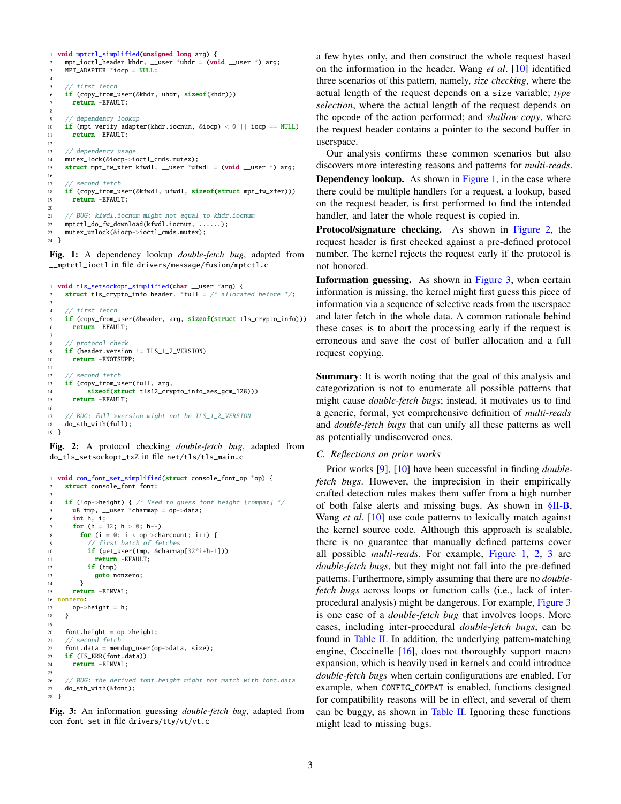```
1 void mptctl_simplified(unsigned long arg) {
2 mpt_ioctl_header khdr, __user *uhdr = (void __user *) arg;
    MPT\_ADAPTER *iocp = NULL;4
5 // first fetch
6 if (copy_from_user(\&khdr, uhdr, sizeof(khdr)))return -EFAULT;
 8
9 // dependency lookup
10 if (mpt_verify_adapter(khdr.iocnum, &iocp) < 0 || iocp == NULL)
11 return -EFAULT;
12
13 // dependency usage
14 mutex_lock(&iocp->ioctl_cmds.mutex);
15 struct mpt_fw_xfer kfwdl, __user *ufwdl = (void __user *) arg;
16
17 // second fetch
18 if (copy_from_user(&kfwdl, ufwdl, sizeof(struct mpt_fw_xfer)))
19 return -EFAULT;
2021 // BUG: kfwdl.iocnum might not equal to khdr.iocnum
22 mptctl_do_fw_download(kfwdl.iocnum, ......);
23 mutex_unlock(&iocp->ioctl_cmds.mutex);
24 }
```
Fig. 1: A dependency lookup *double-fetch bug*, adapted from \_\_mptctl\_ioctl in file drivers/message/fusion/mptctl.c

```
1 void tls_setsockopt_simplified(char __user *arg) {
    struct tls_crypto_info header, *full = /* allocated before */;
 3
      4 // first fetch
    5 if (copy_from_user(&header, arg, sizeof(struct tls_crypto_info)))
      return -EFAULT;
 7
8 // protocol check
9 if (header.version != TLS_1_2_VERSION)
10 return -ENOTSUPP;
11
12 // second fetch
13 if (copy_from_user(full, arg,
14 sizeof(struct tls12_crypto_info_aes_gcm_128)))
15 return -EFAULT;
16
17 // BUG: full->version might not be TLS_1_2_VERSION
18 do sth with(full):
19 }
```
Fig. 2: A protocol checking *double-fetch bug*, adapted from do\_tls\_setsockopt\_txZ in file net/tls/tls\_main.c

```
1 void con_font_set_simplified(struct console_font_op *op) {
    struct console_font font;
3
    if (!op->height) { /* Need to guess font height [compat] */
      u8 tmp, __user *charmap = op->data;
      int h, i;
      for (h = 32; h > 0; h--)8 for (i = 0; i < op>>charcount; i++) {
9 // first batch of fetches
10 if (get_user(tmp, &charmap[32*i+h-1]))
11 return -EFAULT;
12 if (tmp)
13 goto nonzero;
14 }
15 return -EINVAL;
16 nonzero:
17 op->height = h;
18 }
19
20 font.height = op->height;
21 // second fetch
22 font.data = memdup_user(op->data, size);
23 if (IS ERR(font.data))
24 return -EINVAL;
25
26 // BUG: the derived font.height might not match with font.data
27 do_sth_with(&font);
```

```
28 }
```
Fig. 3: An information guessing *double-fetch bug*, adapted from con\_font\_set in file drivers/tty/vt/vt.c

a few bytes only, and then construct the whole request based on the information in the header. Wang *et al*. [\[10\]](#page-13-8) identified three scenarios of this pattern, namely, *size checking*, where the actual length of the request depends on a size variable; *type selection*, where the actual length of the request depends on the opcode of the action performed; and *shallow copy*, where the request header contains a pointer to the second buffer in userspace.

Our analysis confirms these common scenarios but also discovers more interesting reasons and patterns for *multi-reads*. **Dependency lookup.** As shown in [Figure 1,](#page-2-0) in the case where there could be multiple handlers for a request, a lookup, based on the request header, is first performed to find the intended handler, and later the whole request is copied in.

Protocol/signature checking. As shown in [Figure 2,](#page-2-1) the request header is first checked against a pre-defined protocol number. The kernel rejects the request early if the protocol is not honored.

Information guessing. As shown in [Figure 3,](#page-2-2) when certain information is missing, the kernel might first guess this piece of information via a sequence of selective reads from the userspace and later fetch in the whole data. A common rationale behind these cases is to abort the processing early if the request is erroneous and save the cost of buffer allocation and a full request copying.

**Summary:** It is worth noting that the goal of this analysis and categorization is not to enumerate all possible patterns that might cause *double-fetch bugs*; instead, it motivates us to find a generic, formal, yet comprehensive definition of *multi-reads* and *double-fetch bugs* that can unify all these patterns as well as potentially undiscovered ones.

## *C. Reflections on prior works*

Prior works [\[9\]](#page-13-7), [\[10\]](#page-13-8) have been successful in finding *doublefetch bugs*. However, the imprecision in their empirically crafted detection rules makes them suffer from a high number of both false alerts and missing bugs. As shown in  $\S$ II-B, Wang *et al*. [\[10\]](#page-13-8) use code patterns to lexically match against the kernel source code. Although this approach is scalable, there is no guarantee that manually defined patterns cover all possible *multi-reads*. For example, [Figure 1,](#page-2-0) [2,](#page-2-1) [3](#page-2-2) are *double-fetch bugs*, but they might not fall into the pre-defined patterns. Furthermore, simply assuming that there are no *doublefetch bugs* across loops or function calls (i.e., lack of interprocedural analysis) might be dangerous. For example, [Figure 3](#page-2-2) is one case of a *double-fetch bug* that involves loops. More cases, including inter-procedural *double-fetch bugs*, can be found in [Table II.](#page-10-1) In addition, the underlying pattern-matching engine, Coccinelle [\[16\]](#page-13-14), does not thoroughly support macro expansion, which is heavily used in kernels and could introduce *double-fetch bugs* when certain configurations are enabled. For example, when CONFIG\_COMPAT is enabled, functions designed for compatibility reasons will be in effect, and several of them can be buggy, as shown in [Table II.](#page-10-1) Ignoring these functions might lead to missing bugs.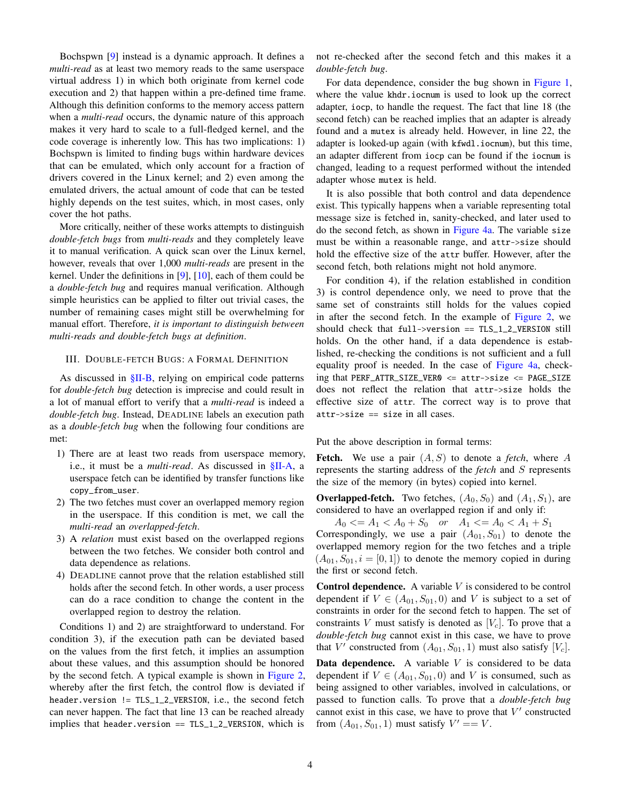Bochspwn [\[9\]](#page-13-7) instead is a dynamic approach. It defines a *multi-read* as at least two memory reads to the same userspace virtual address 1) in which both originate from kernel code execution and 2) that happen within a pre-defined time frame. Although this definition conforms to the memory access pattern when a *multi-read* occurs, the dynamic nature of this approach makes it very hard to scale to a full-fledged kernel, and the code coverage is inherently low. This has two implications: 1) Bochspwn is limited to finding bugs within hardware devices that can be emulated, which only account for a fraction of drivers covered in the Linux kernel; and 2) even among the emulated drivers, the actual amount of code that can be tested highly depends on the test suites, which, in most cases, only cover the hot paths.

More critically, neither of these works attempts to distinguish *double-fetch bugs* from *multi-reads* and they completely leave it to manual verification. A quick scan over the Linux kernel, however, reveals that over 1,000 *multi-reads* are present in the kernel. Under the definitions in [\[9\]](#page-13-7), [\[10\]](#page-13-8), each of them could be a *double-fetch bug* and requires manual verification. Although simple heuristics can be applied to filter out trivial cases, the number of remaining cases might still be overwhelming for manual effort. Therefore, *it is important to distinguish between multi-reads and double-fetch bugs at definition*.

## <span id="page-3-0"></span>III. DOUBLE-FETCH BUGS: A FORMAL DEFINITION

As discussed in [§II-B,](#page-1-1) relying on empirical code patterns for *double-fetch bug* detection is imprecise and could result in a lot of manual effort to verify that a *multi-read* is indeed a *double-fetch bug*. Instead, DEADLINE labels an execution path as a *double-fetch bug* when the following four conditions are met:

- 1) There are at least two reads from userspace memory, i.e., it must be a *multi-read*. As discussed in [§II-A,](#page-1-2) a userspace fetch can be identified by transfer functions like copy\_from\_user.
- 2) The two fetches must cover an overlapped memory region in the userspace. If this condition is met, we call the *multi-read* an *overlapped-fetch*.
- 3) A *relation* must exist based on the overlapped regions between the two fetches. We consider both control and data dependence as relations.
- 4) DEADLINE cannot prove that the relation established still holds after the second fetch. In other words, a user process can do a race condition to change the content in the overlapped region to destroy the relation.

Conditions 1) and 2) are straightforward to understand. For condition 3), if the execution path can be deviated based on the values from the first fetch, it implies an assumption about these values, and this assumption should be honored by the second fetch. A typical example is shown in [Figure 2,](#page-2-1) whereby after the first fetch, the control flow is deviated if header.version != TLS\_1\_2\_VERSION, i.e., the second fetch can never happen. The fact that line 13 can be reached already implies that header.version == TLS\_1\_2\_VERSION, which is not re-checked after the second fetch and this makes it a *double-fetch bug*.

For data dependence, consider the bug shown in [Figure 1,](#page-2-0) where the value khdr.iocnum is used to look up the correct adapter, iocp, to handle the request. The fact that line 18 (the second fetch) can be reached implies that an adapter is already found and a mutex is already held. However, in line 22, the adapter is looked-up again (with kfwdl.iocnum), but this time, an adapter different from iocp can be found if the iocnum is changed, leading to a request performed without the intended adapter whose mutex is held.

It is also possible that both control and data dependence exist. This typically happens when a variable representing total message size is fetched in, sanity-checked, and later used to do the second fetch, as shown in [Figure 4a.](#page-7-0) The variable size must be within a reasonable range, and attr->size should hold the effective size of the attr buffer. However, after the second fetch, both relations might not hold anymore.

For condition 4), if the relation established in condition 3) is control dependence only, we need to prove that the same set of constraints still holds for the values copied in after the second fetch. In the example of [Figure 2,](#page-2-1) we should check that full->version == TLS\_1\_2\_VERSION still holds. On the other hand, if a data dependence is established, re-checking the conditions is not sufficient and a full equality proof is needed. In the case of [Figure 4a,](#page-7-0) checking that PERF\_ATTR\_SIZE\_VER0 <= attr->size <= PAGE\_SIZE does not reflect the relation that attr->size holds the effective size of attr. The correct way is to prove that  $attr\rightarrow$ size  $=$  size in all cases.

Put the above description in formal terms:

Fetch. We use a pair  $(A, S)$  to denote a *fetch*, where A represents the starting address of the *fetch* and S represents the size of the memory (in bytes) copied into kernel.

**Overlapped-fetch.** Two fetches,  $(A_0, S_0)$  and  $(A_1, S_1)$ , are considered to have an overlapped region if and only if:

 $A_0 \leq A_1 < A_0 + S_0 \quad \text{or} \quad A_1 \leq A_0 < A_1 + S_1$ Correspondingly, we use a pair  $(A_{01}, S_{01})$  to denote the overlapped memory region for the two fetches and a triple  $(A_{01}, S_{01}, i = [0, 1])$  to denote the memory copied in during the first or second fetch.

**Control dependence.** A variable  $V$  is considered to be control dependent if  $V \in (A_{01}, S_{01}, 0)$  and V is subject to a set of constraints in order for the second fetch to happen. The set of constraints V must satisfy is denoted as  $[V<sub>c</sub>]$ . To prove that a *double-fetch bug* cannot exist in this case, we have to prove that V' constructed from  $(A_{01}, S_{01}, 1)$  must also satisfy  $[V_c]$ .

**Data dependence.** A variable  $V$  is considered to be data dependent if  $V \in (A_{01}, S_{01}, 0)$  and V is consumed, such as being assigned to other variables, involved in calculations, or passed to function calls. To prove that a *double-fetch bug* cannot exist in this case, we have to prove that  $V'$  constructed from  $(A_{01}, S_{01}, 1)$  must satisfy  $V' = = V$ .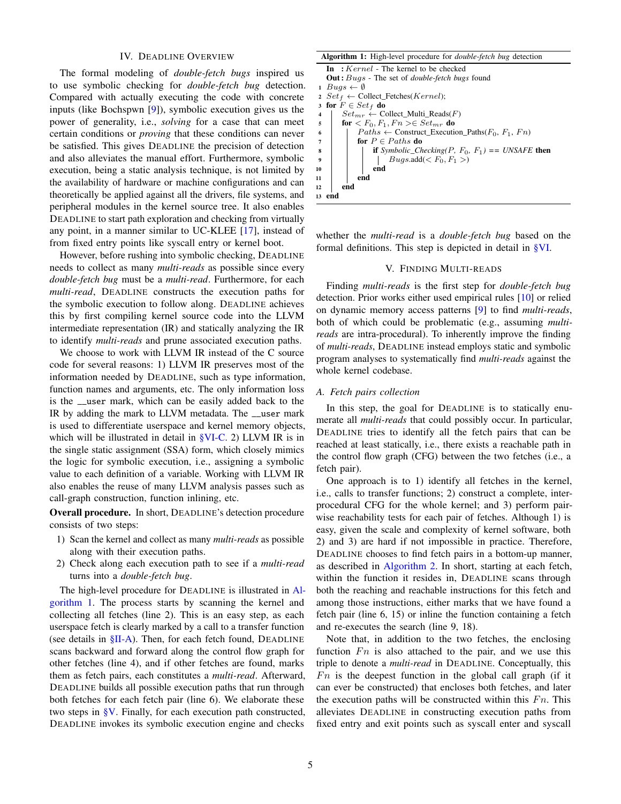## IV. DEADLINE OVERVIEW

<span id="page-4-0"></span>The formal modeling of *double-fetch bugs* inspired us to use symbolic checking for *double-fetch bug* detection. Compared with actually executing the code with concrete inputs (like Bochspwn [\[9\]](#page-13-7)), symbolic execution gives us the power of generality, i.e., *solving* for a case that can meet certain conditions or *proving* that these conditions can never be satisfied. This gives DEADLINE the precision of detection and also alleviates the manual effort. Furthermore, symbolic execution, being a static analysis technique, is not limited by the availability of hardware or machine configurations and can theoretically be applied against all the drivers, file systems, and peripheral modules in the kernel source tree. It also enables DEADLINE to start path exploration and checking from virtually any point, in a manner similar to UC-KLEE [\[17\]](#page-13-15), instead of from fixed entry points like syscall entry or kernel boot.

However, before rushing into symbolic checking, DEADLINE needs to collect as many *multi-reads* as possible since every *double-fetch bug* must be a *multi-read*. Furthermore, for each *multi-read*, DEADLINE constructs the execution paths for the symbolic execution to follow along. DEADLINE achieves this by first compiling kernel source code into the LLVM intermediate representation (IR) and statically analyzing the IR to identify *multi-reads* and prune associated execution paths.

We choose to work with LLVM IR instead of the C source code for several reasons: 1) LLVM IR preserves most of the information needed by DEADLINE, such as type information, function names and arguments, etc. The only information loss is the \_\_user mark, which can be easily added back to the IR by adding the mark to LLVM metadata. The \_\_user mark is used to differentiate userspace and kernel memory objects, which will be illustrated in detail in  $\gamma$ VI-C. 2) LLVM IR is in the single static assignment (SSA) form, which closely mimics the logic for symbolic execution, i.e., assigning a symbolic value to each definition of a variable. Working with LLVM IR also enables the reuse of many LLVM analysis passes such as call-graph construction, function inlining, etc.

Overall procedure. In short, DEADLINE's detection procedure consists of two steps:

- 1) Scan the kernel and collect as many *multi-reads* as possible along with their execution paths.
- 2) Check along each execution path to see if a *multi-read* turns into a *double-fetch bug*.

The high-level procedure for DEADLINE is illustrated in [Al](#page-4-2)[gorithm 1.](#page-4-2) The process starts by scanning the kernel and collecting all fetches (line 2). This is an easy step, as each userspace fetch is clearly marked by a call to a transfer function (see details in  $\S$ II-A). Then, for each fetch found, DEADLINE scans backward and forward along the control flow graph for other fetches (line 4), and if other fetches are found, marks them as fetch pairs, each constitutes a *multi-read*. Afterward, DEADLINE builds all possible execution paths that run through both fetches for each fetch pair (line 6). We elaborate these two steps in  $\frac{8}{3}V$ . Finally, for each execution path constructed, DEADLINE invokes its symbolic execution engine and checks

In : Kernel - The kernel to be checked Out : Bugs - The set of *double-fetch bugs* found 1  $Bugs \leftarrow \emptyset$ 2  $Set_f \leftarrow$  Collect\_Fetches(*Kernel*); 3 for  $\tilde{F} \in Set_f$  do<br>4 |  $Set_{mr} \leftarrow C_0$ 4  $Set_{mr} \leftarrow$  Collect\_Multi\_Reads(F)<br>5 **for**  $\lt F_0, F_1, Fn \gt \in Set_{mr}$  **do** for  $\langle F_0, F_1, Fn \rangle \in Set_{mr}$  do 6 | Paths ← Construct\_Execution\_Paths( $F_0, F_1, F_n$ ) 7 **for**  $P \in Paths$  do 8 **if** *Symbolic\_Checking(P, F<sub>0</sub>, F<sub>1</sub>) == UNSAFE* then 9 | | |  $Bugs.add( $F_0, F_1 >$$ 10 | | | end  $11$  end  $12$  end <sup>13</sup> end

<span id="page-4-2"></span>whether the *multi-read* is a *double-fetch bug* based on the formal definitions. This step is depicted in detail in [§VI.](#page-5-0)

# V. FINDING MULTI-READS

<span id="page-4-1"></span>Finding *multi-reads* is the first step for *double-fetch bug* detection. Prior works either used empirical rules [\[10\]](#page-13-8) or relied on dynamic memory access patterns [\[9\]](#page-13-7) to find *multi-reads*, both of which could be problematic (e.g., assuming *multireads* are intra-procedural). To inherently improve the finding of *multi-reads*, DEADLINE instead employs static and symbolic program analyses to systematically find *multi-reads* against the whole kernel codebase.

#### *A. Fetch pairs collection*

In this step, the goal for DEADLINE is to statically enumerate all *multi-reads* that could possibly occur. In particular, DEADLINE tries to identify all the fetch pairs that can be reached at least statically, i.e., there exists a reachable path in the control flow graph (CFG) between the two fetches (i.e., a fetch pair).

One approach is to 1) identify all fetches in the kernel, i.e., calls to transfer functions; 2) construct a complete, interprocedural CFG for the whole kernel; and 3) perform pairwise reachability tests for each pair of fetches. Although 1) is easy, given the scale and complexity of kernel software, both 2) and 3) are hard if not impossible in practice. Therefore, DEADLINE chooses to find fetch pairs in a bottom-up manner, as described in [Algorithm 2.](#page-5-1) In short, starting at each fetch, within the function it resides in, DEADLINE scans through both the reaching and reachable instructions for this fetch and among those instructions, either marks that we have found a fetch pair (line 6, 15) or inline the function containing a fetch and re-executes the search (line 9, 18).

Note that, in addition to the two fetches, the enclosing function  $Fn$  is also attached to the pair, and we use this triple to denote a *multi-read* in DEADLINE. Conceptually, this  $Fn$  is the deepest function in the global call graph (if it can ever be constructed) that encloses both fetches, and later the execution paths will be constructed within this  $Fn$ . This alleviates DEADLINE in constructing execution paths from fixed entry and exit points such as syscall enter and syscall

#### Algorithm 1: High-level procedure for *double-fetch bug* detection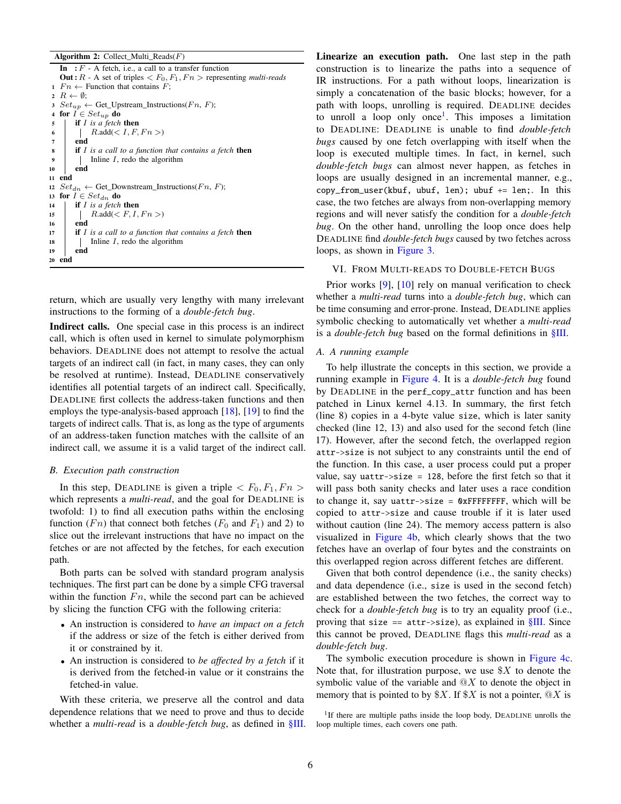Algorithm 2: Collect\_Multi\_Reads( $F$ )

|                  | In : $F$ - A fetch, i.e., a call to a transfer function                                |
|------------------|----------------------------------------------------------------------------------------|
|                  | <b>Out:</b> R - A set of triples $\lt F_0, F_1, F_n >$ representing <i>multi-reads</i> |
|                  | $1 \space Fr \leftarrow$ Function that contains F;                                     |
|                  | $2 R \leftarrow \emptyset$ :                                                           |
|                  | $3 \text{ Set}_{up} \leftarrow$ Get_Upstream_Instructions( <i>Fn</i> , <i>F</i> );     |
|                  | 4 for $I \in Set_{up}$ do                                                              |
| 5 <sub>5</sub>   | <b>if</b> <i>I</i> is a fetch <b>then</b>                                              |
| 6                | $R \text{.} \text{add}(< I, F, Fn>)$                                                   |
| 7                | end                                                                                    |
| 8                | <b>if</b> $I$ is a call to a function that contains a fetch <b>then</b>                |
| $\boldsymbol{9}$ | Inline $I$ , redo the algorithm                                                        |
|                  |                                                                                        |
| 10               | end                                                                                    |
|                  | 11 end                                                                                 |
|                  | 12 $Set_{dn} \leftarrow$ Get_Downstream_Instructions( <i>Fn</i> , <i>F</i> );          |
|                  | 13 for $I \in Set_{dn}$ do                                                             |
| 14               | <b>if</b> $I$ is a fetch <b>then</b>                                                   |
| 15               | $R$ .add $(F, I, Fn>)$                                                                 |
| 16               | end                                                                                    |
| 17               | <b>if</b> $I$ is a call to a function that contains a fetch <b>then</b>                |
| 18               | Inline $I$ , redo the algorithm                                                        |
| 19               | end                                                                                    |
| 20               | end                                                                                    |
|                  |                                                                                        |

<span id="page-5-1"></span>return, which are usually very lengthy with many irrelevant instructions to the forming of a *double-fetch bug*.

Indirect calls. One special case in this process is an indirect call, which is often used in kernel to simulate polymorphism behaviors. DEADLINE does not attempt to resolve the actual targets of an indirect call (in fact, in many cases, they can only be resolved at runtime). Instead, DEADLINE conservatively identifies all potential targets of an indirect call. Specifically, DEADLINE first collects the address-taken functions and then employs the type-analysis-based approach [\[18\]](#page-13-16), [\[19\]](#page-13-17) to find the targets of indirect calls. That is, as long as the type of arguments of an address-taken function matches with the callsite of an indirect call, we assume it is a valid target of the indirect call.

## <span id="page-5-3"></span>*B. Execution path construction*

In this step, DEADLINE is given a triple  $\langle F_0, F_1, F_n \rangle$ which represents a *multi-read*, and the goal for DEADLINE is twofold: 1) to find all execution paths within the enclosing function  $(F_n)$  that connect both fetches  $(F_0$  and  $F_1)$  and 2) to slice out the irrelevant instructions that have no impact on the fetches or are not affected by the fetches, for each execution path.

Both parts can be solved with standard program analysis techniques. The first part can be done by a simple CFG traversal within the function  $Fn$ , while the second part can be achieved by slicing the function CFG with the following criteria:

- An instruction is considered to *have an impact on a fetch* if the address or size of the fetch is either derived from it or constrained by it.
- An instruction is considered to *be affected by a fetch* if it is derived from the fetched-in value or it constrains the fetched-in value.

With these criteria, we preserve all the control and data dependence relations that we need to prove and thus to decide whether a *multi-read* is a *double-fetch bug*, as defined in [§III.](#page-3-0) Linearize an execution path. One last step in the path construction is to linearize the paths into a sequence of IR instructions. For a path without loops, linearization is simply a concatenation of the basic blocks; however, for a path with loops, unrolling is required. DEADLINE decides to unroll a loop only once<sup>[1](#page-5-2)</sup>. This imposes a limitation to DEADLINE: DEADLINE is unable to find *double-fetch bugs* caused by one fetch overlapping with itself when the loop is executed multiple times. In fact, in kernel, such *double-fetch bugs* can almost never happen, as fetches in loops are usually designed in an incremental manner, e.g., copy\_from\_user(kbuf, ubuf, len); ubuf += len;. In this case, the two fetches are always from non-overlapping memory regions and will never satisfy the condition for a *double-fetch bug*. On the other hand, unrolling the loop once does help DEADLINE find *double-fetch bugs* caused by two fetches across loops, as shown in [Figure 3.](#page-2-2)

## <span id="page-5-0"></span>VI. FROM MULTI-READS TO DOUBLE-FETCH BUGS

Prior works [\[9\]](#page-13-7), [\[10\]](#page-13-8) rely on manual verification to check whether a *multi-read* turns into a *double-fetch bug*, which can be time consuming and error-prone. Instead, DEADLINE applies symbolic checking to automatically vet whether a *multi-read* is a *double-fetch bug* based on the formal definitions in [§III.](#page-3-0)

## *A. A running example*

To help illustrate the concepts in this section, we provide a running example in [Figure 4.](#page-7-0) It is a *double-fetch bug* found by DEADLINE in the perf\_copy\_attr function and has been patched in Linux kernel 4.13. In summary, the first fetch (line 8) copies in a 4-byte value size, which is later sanity checked (line 12, 13) and also used for the second fetch (line 17). However, after the second fetch, the overlapped region attr->size is not subject to any constraints until the end of the function. In this case, a user process could put a proper value, say uattr- $>$ size = 128, before the first fetch so that it will pass both sanity checks and later uses a race condition to change it, say uattr- $>$ size = 0xFFFFFFFFF, which will be copied to attr->size and cause trouble if it is later used without caution (line 24). The memory access pattern is also visualized in [Figure 4b,](#page-7-0) which clearly shows that the two fetches have an overlap of four bytes and the constraints on this overlapped region across different fetches are different.

Given that both control dependence (i.e., the sanity checks) and data dependence (i.e., size is used in the second fetch) are established between the two fetches, the correct way to check for a *double-fetch bug* is to try an equality proof (i.e., proving that size  $==$  attr- $>$ size), as explained in  $$III.$  Since this cannot be proved, DEADLINE flags this *multi-read* as a *double-fetch bug*.

The symbolic execution procedure is shown in [Figure 4c.](#page-7-0) Note that, for illustration purpose, we use  $X$  to denote the symbolic value of the variable and  $\mathcal{Q}X$  to denote the object in memory that is pointed to by  $X$ . If  $X$  is not a pointer,  $\mathcal{Q}X$  is

<span id="page-5-2"></span><sup>&</sup>lt;sup>1</sup>If there are multiple paths inside the loop body, DEADLINE unrolls the loop multiple times, each covers one path.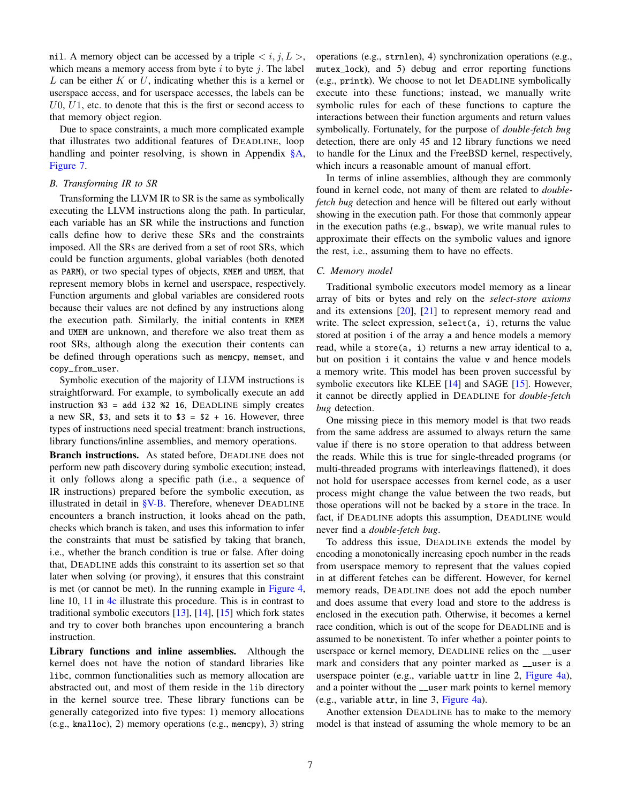nil. A memory object can be accessed by a triple  $\langle i, j, L \rangle$ , which means a memory access from byte  $i$  to byte  $j$ . The label L can be either  $K$  or  $U$ , indicating whether this is a kernel or userspace access, and for userspace accesses, the labels can be  $U0$ ,  $U1$ , etc. to denote that this is the first or second access to that memory object region.

Due to space constraints, a much more complicated example that illustrates two additional features of DEADLINE, loop handling and pointer resolving, is shown in Appendix [§A,](#page-14-0) [Figure 7.](#page-14-1)

## *B. Transforming IR to SR*

Transforming the LLVM IR to SR is the same as symbolically executing the LLVM instructions along the path. In particular, each variable has an SR while the instructions and function calls define how to derive these SRs and the constraints imposed. All the SRs are derived from a set of root SRs, which could be function arguments, global variables (both denoted as PARM), or two special types of objects, KMEM and UMEM, that represent memory blobs in kernel and userspace, respectively. Function arguments and global variables are considered roots because their values are not defined by any instructions along the execution path. Similarly, the initial contents in KMEM and UMEM are unknown, and therefore we also treat them as root SRs, although along the execution their contents can be defined through operations such as memcpy, memset, and copy\_from\_user.

Symbolic execution of the majority of LLVM instructions is straightforward. For example, to symbolically execute an add instruction %3 = add i32 %2 16, DEADLINE simply creates a new SR, \$3, and sets it to  $$3 = $2 + 16$ . However, three types of instructions need special treatment: branch instructions, library functions/inline assemblies, and memory operations.

Branch instructions. As stated before, DEADLINE does not perform new path discovery during symbolic execution; instead, it only follows along a specific path (i.e., a sequence of IR instructions) prepared before the symbolic execution, as illustrated in detail in  $\frac{S}{V-B}$ . Therefore, whenever DEADLINE encounters a branch instruction, it looks ahead on the path, checks which branch is taken, and uses this information to infer the constraints that must be satisfied by taking that branch, i.e., whether the branch condition is true or false. After doing that, DEADLINE adds this constraint to its assertion set so that later when solving (or proving), it ensures that this constraint is met (or cannot be met). In the running example in [Figure 4,](#page-7-0) line 10, 11 in [4c](#page-7-0) illustrate this procedure. This is in contrast to traditional symbolic executors [\[13\]](#page-13-11), [\[14\]](#page-13-12), [\[15\]](#page-13-13) which fork states and try to cover both branches upon encountering a branch instruction.

Library functions and inline assemblies. Although the kernel does not have the notion of standard libraries like libc, common functionalities such as memory allocation are abstracted out, and most of them reside in the lib directory in the kernel source tree. These library functions can be generally categorized into five types: 1) memory allocations (e.g., kmalloc), 2) memory operations (e.g., memcpy), 3) string operations (e.g., strnlen), 4) synchronization operations (e.g., mutex\_lock), and 5) debug and error reporting functions (e.g., printk). We choose to not let DEADLINE symbolically execute into these functions; instead, we manually write symbolic rules for each of these functions to capture the interactions between their function arguments and return values symbolically. Fortunately, for the purpose of *double-fetch bug* detection, there are only 45 and 12 library functions we need to handle for the Linux and the FreeBSD kernel, respectively, which incurs a reasonable amount of manual effort.

In terms of inline assemblies, although they are commonly found in kernel code, not many of them are related to *doublefetch bug* detection and hence will be filtered out early without showing in the execution path. For those that commonly appear in the execution paths (e.g., bswap), we write manual rules to approximate their effects on the symbolic values and ignore the rest, i.e., assuming them to have no effects.

## <span id="page-6-0"></span>*C. Memory model*

Traditional symbolic executors model memory as a linear array of bits or bytes and rely on the *select-store axioms* and its extensions [\[20\]](#page-13-18), [\[21\]](#page-13-19) to represent memory read and write. The select expression, select(a, i), returns the value stored at position i of the array a and hence models a memory read, while a store(a, i) returns a new array identical to a, but on position i it contains the value v and hence models a memory write. This model has been proven successful by symbolic executors like KLEE [\[14\]](#page-13-12) and SAGE [\[15\]](#page-13-13). However, it cannot be directly applied in DEADLINE for *double-fetch bug* detection.

One missing piece in this memory model is that two reads from the same address are assumed to always return the same value if there is no store operation to that address between the reads. While this is true for single-threaded programs (or multi-threaded programs with interleavings flattened), it does not hold for userspace accesses from kernel code, as a user process might change the value between the two reads, but those operations will not be backed by a store in the trace. In fact, if DEADLINE adopts this assumption, DEADLINE would never find a *double-fetch bug*.

To address this issue, DEADLINE extends the model by encoding a monotonically increasing epoch number in the reads from userspace memory to represent that the values copied in at different fetches can be different. However, for kernel memory reads, DEADLINE does not add the epoch number and does assume that every load and store to the address is enclosed in the execution path. Otherwise, it becomes a kernel race condition, which is out of the scope for DEADLINE and is assumed to be nonexistent. To infer whether a pointer points to userspace or kernel memory, DEADLINE relies on the \_\_user mark and considers that any pointer marked as \_\_user is a userspace pointer (e.g., variable uattr in line 2, [Figure 4a\)](#page-7-0), and a pointer without the \_\_user mark points to kernel memory (e.g., variable attr, in line 3, [Figure 4a\)](#page-7-0).

Another extension DEADLINE has to make to the memory model is that instead of assuming the whole memory to be an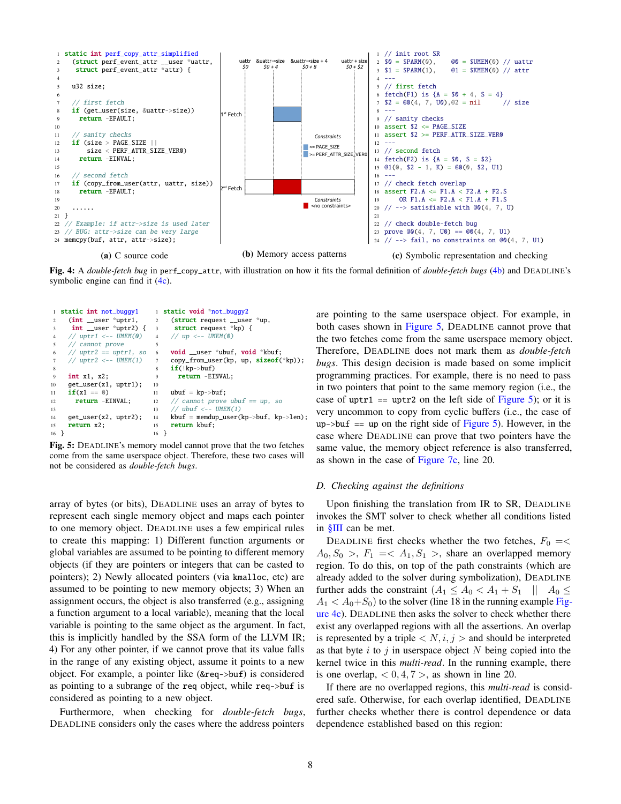<span id="page-7-0"></span>

Fig. 4: A *double-fetch bug* in perf\_copy\_attr, with illustration on how it fits the formal definition of *double-fetch bugs* [\(4b\)](#page-7-0) and DEADLINE's symbolic engine can find it [\(4c\)](#page-7-0).

<span id="page-7-1"></span>

Fig. 5: DEADLINE's memory model cannot prove that the two fetches come from the same userspace object. Therefore, these two cases will not be considered as *double-fetch bugs*.

array of bytes (or bits), DEADLINE uses an array of bytes to represent each single memory object and maps each pointer to one memory object. DEADLINE uses a few empirical rules to create this mapping: 1) Different function arguments or global variables are assumed to be pointing to different memory objects (if they are pointers or integers that can be casted to pointers); 2) Newly allocated pointers (via kmalloc, etc) are assumed to be pointing to new memory objects; 3) When an assignment occurs, the object is also transferred (e.g., assigning a function argument to a local variable), meaning that the local variable is pointing to the same object as the argument. In fact, this is implicitly handled by the SSA form of the LLVM IR; 4) For any other pointer, if we cannot prove that its value falls in the range of any existing object, assume it points to a new object. For example, a pointer like (&req->buf) is considered as pointing to a subrange of the req object, while req->buf is considered as pointing to a new object.

Furthermore, when checking for *double-fetch bugs*, DEADLINE considers only the cases where the address pointers

are pointing to the same userspace object. For example, in both cases shown in [Figure 5,](#page-7-1) DEADLINE cannot prove that the two fetches come from the same userspace memory object. Therefore, DEADLINE does not mark them as *double-fetch bugs*. This design decision is made based on some implicit programming practices. For example, there is no need to pass in two pointers that point to the same memory region (i.e., the case of uptr1 == uptr2 on the left side of  $Figure 5$ ; or it is very uncommon to copy from cyclic buffers (i.e., the case of up- $>$ buf == up on the right side of [Figure 5\)](#page-7-1). However, in the case where DEADLINE can prove that two pointers have the same value, the memory object reference is also transferred, as shown in the case of [Figure 7c,](#page-14-1) line 20.

## *D. Checking against the definitions*

Upon finishing the translation from IR to SR, DEADLINE invokes the SMT solver to check whether all conditions listed in [§III](#page-3-0) can be met.

DEADLINE first checks whether the two fetches,  $F_0 = \lt$  $A_0, S_0 > E_1 = A_1, S_1 >$ , share an overlapped memory region. To do this, on top of the path constraints (which are already added to the solver during symbolization), DEADLINE further adds the constraint  $(A_1 \leq A_0 < A_1 + S_1 \parallel A_0 \leq$  $A_1 < A_0 + S_0$ ) to the solver (line 18 in the running example [Fig](#page-7-0)[ure 4c\)](#page-7-0). DEADLINE then asks the solver to check whether there exist any overlapped regions with all the assertions. An overlap is represented by a triple  $\langle N, i, j \rangle$  and should be interpreted as that byte i to j in userspace object N being copied into the kernel twice in this *multi-read*. In the running example, there is one overlap,  $< 0, 4, 7 >$ , as shown in line 20.

If there are no overlapped regions, this *multi-read* is considered safe. Otherwise, for each overlap identified, DEADLINE further checks whether there is control dependence or data dependence established based on this region: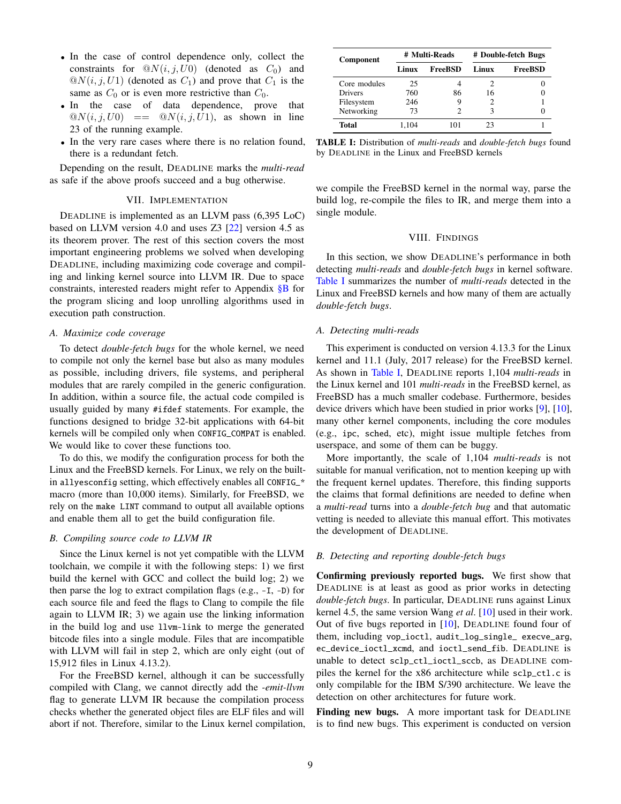- In the case of control dependence only, collect the constraints for  $\mathbb{Q}N(i, j, U0)$  (denoted as  $C_0$ ) and  $\mathbb{Q}N(i, j, U1)$  (denoted as  $C_1$ ) and prove that  $C_1$  is the same as  $C_0$  or is even more restrictive than  $C_0$ .
- In the case of data dependence, prove that  $\mathbb{Q}N(i, j, U0)$  ==  $\mathbb{Q}N(i, j, U1)$ , as shown in line 23 of the running example.
- In the very rare cases where there is no relation found, there is a redundant fetch.

Depending on the result, DEADLINE marks the *multi-read* as safe if the above proofs succeed and a bug otherwise.

## VII. IMPLEMENTATION

<span id="page-8-0"></span>DEADLINE is implemented as an LLVM pass (6,395 LoC) based on LLVM version 4.0 and uses  $Z3$   $[22]$  version 4.5 as its theorem prover. The rest of this section covers the most important engineering problems we solved when developing DEADLINE, including maximizing code coverage and compiling and linking kernel source into LLVM IR. Due to space constraints, interested readers might refer to Appendix [§B](#page-15-0) for the program slicing and loop unrolling algorithms used in execution path construction.

## *A. Maximize code coverage*

To detect *double-fetch bugs* for the whole kernel, we need to compile not only the kernel base but also as many modules as possible, including drivers, file systems, and peripheral modules that are rarely compiled in the generic configuration. In addition, within a source file, the actual code compiled is usually guided by many #ifdef statements. For example, the functions designed to bridge 32-bit applications with 64-bit kernels will be compiled only when CONFIG\_COMPAT is enabled. We would like to cover these functions too.

To do this, we modify the configuration process for both the Linux and the FreeBSD kernels. For Linux, we rely on the builtin allyesconfig setting, which effectively enables all CONFIG\_\* macro (more than 10,000 items). Similarly, for FreeBSD, we rely on the make LINT command to output all available options and enable them all to get the build configuration file.

#### *B. Compiling source code to LLVM IR*

Since the Linux kernel is not yet compatible with the LLVM toolchain, we compile it with the following steps: 1) we first build the kernel with GCC and collect the build log; 2) we then parse the log to extract compilation flags (e.g.,  $-I$ ,  $-D$ ) for each source file and feed the flags to Clang to compile the file again to LLVM IR; 3) we again use the linking information in the build log and use llvm-link to merge the generated bitcode files into a single module. Files that are incompatible with LLVM will fail in step 2, which are only eight (out of 15,912 files in Linux 4.13.2).

For the FreeBSD kernel, although it can be successfully compiled with Clang, we cannot directly add the *-emit-llvm* flag to generate LLVM IR because the compilation process checks whether the generated object files are ELF files and will abort if not. Therefore, similar to the Linux kernel compilation,

<span id="page-8-2"></span>

| <b>Component</b> | # Multi-Reads |                | # Double-fetch Bugs |                |  |
|------------------|---------------|----------------|---------------------|----------------|--|
|                  | Linux         | <b>FreeBSD</b> | Linux               | <b>FreeBSD</b> |  |
| Core modules     | 25            |                |                     |                |  |
| Drivers          | 760           | 86             | 16                  |                |  |
| Filesystem       | 246           |                |                     |                |  |
| Networking       | 73            |                | κ                   |                |  |
| Total            | 1.104         |                | フ3                  |                |  |

TABLE I: Distribution of *multi-reads* and *double-fetch bugs* found by DEADLINE in the Linux and FreeBSD kernels

we compile the FreeBSD kernel in the normal way, parse the build log, re-compile the files to IR, and merge them into a single module.

## VIII. FINDINGS

<span id="page-8-1"></span>In this section, we show DEADLINE's performance in both detecting *multi-reads* and *double-fetch bugs* in kernel software. [Table I](#page-8-2) summarizes the number of *multi-reads* detected in the Linux and FreeBSD kernels and how many of them are actually *double-fetch bugs*.

## *A. Detecting multi-reads*

This experiment is conducted on version 4.13.3 for the Linux kernel and 11.1 (July, 2017 release) for the FreeBSD kernel. As shown in [Table I,](#page-8-2) DEADLINE reports 1,104 *multi-reads* in the Linux kernel and 101 *multi-reads* in the FreeBSD kernel, as FreeBSD has a much smaller codebase. Furthermore, besides device drivers which have been studied in prior works [\[9\]](#page-13-7), [\[10\]](#page-13-8), many other kernel components, including the core modules (e.g., ipc, sched, etc), might issue multiple fetches from userspace, and some of them can be buggy.

More importantly, the scale of 1,104 *multi-reads* is not suitable for manual verification, not to mention keeping up with the frequent kernel updates. Therefore, this finding supports the claims that formal definitions are needed to define when a *multi-read* turns into a *double-fetch bug* and that automatic vetting is needed to alleviate this manual effort. This motivates the development of DEADLINE.

## *B. Detecting and reporting double-fetch bugs*

Confirming previously reported bugs. We first show that DEADLINE is at least as good as prior works in detecting *double-fetch bugs*. In particular, DEADLINE runs against Linux kernel 4.5, the same version Wang *et al*. [\[10\]](#page-13-8) used in their work. Out of five bugs reported in [\[10\]](#page-13-8), DEADLINE found four of them, including vop\_ioctl, audit\_log\_single\_ execve\_arg, ec\_device\_ioctl\_xcmd, and ioctl\_send\_fib. DEADLINE is unable to detect sclp\_ctl\_ioctl\_sccb, as DEADLINE compiles the kernel for the x86 architecture while sclp\_ctl.c is only compilable for the IBM S/390 architecture. We leave the detection on other architectures for future work.

Finding new bugs. A more important task for DEADLINE is to find new bugs. This experiment is conducted on version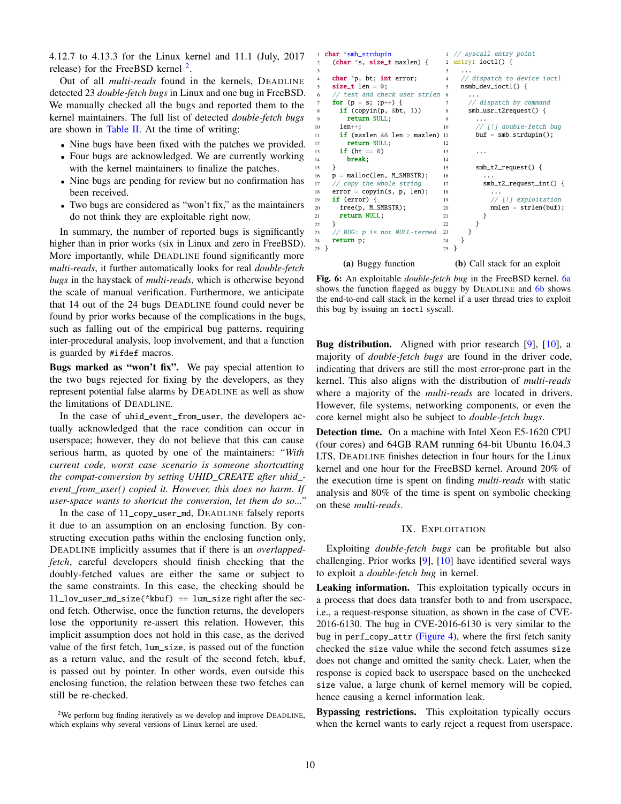4.12.7 to 4.13.3 for the Linux kernel and 11.1 (July, 2017 release) for the FreeBSD kernel<sup>[2](#page-9-1)</sup>.

Out of all *multi-reads* found in the kernels, DEADLINE detected 23 *double-fetch bugs* in Linux and one bug in FreeBSD. We manually checked all the bugs and reported them to the kernel maintainers. The full list of detected *double-fetch bugs* are shown in [Table II.](#page-10-1) At the time of writing:

- Nine bugs have been fixed with the patches we provided.
- Four bugs are acknowledged. We are currently working with the kernel maintainers to finalize the patches.
- Nine bugs are pending for review but no confirmation has been received.
- Two bugs are considered as "won't fix," as the maintainers do not think they are exploitable right now.

In summary, the number of reported bugs is significantly higher than in prior works (six in Linux and zero in FreeBSD). More importantly, while DEADLINE found significantly more *multi-reads*, it further automatically looks for real *double-fetch bugs* in the haystack of *multi-reads*, which is otherwise beyond the scale of manual verification. Furthermore, we anticipate that 14 out of the 24 bugs DEADLINE found could never be found by prior works because of the complications in the bugs, such as falling out of the empirical bug patterns, requiring inter-procedural analysis, loop involvement, and that a function is guarded by #ifdef macros.

Bugs marked as "won't fix". We pay special attention to the two bugs rejected for fixing by the developers, as they represent potential false alarms by DEADLINE as well as show the limitations of DEADLINE.

In the case of uhid\_event\_from\_user, the developers actually acknowledged that the race condition can occur in userspace; however, they do not believe that this can cause serious harm, as quoted by one of the maintainers: *"With current code, worst case scenario is someone shortcutting the compat-conversion by setting UHID\_CREATE after uhid\_ event\_from\_user() copied it. However, this does no harm. If user-space wants to shortcut the conversion, let them do so..."*

In the case of ll\_copy\_user\_md, DEADLINE falsely reports it due to an assumption on an enclosing function. By constructing execution paths within the enclosing function only, DEADLINE implicitly assumes that if there is an *overlappedfetch*, careful developers should finish checking that the doubly-fetched values are either the same or subject to the same constraints. In this case, the checking should be ll\_lov\_user\_md\_size(\*kbuf) == lum\_size right after the second fetch. Otherwise, once the function returns, the developers lose the opportunity re-assert this relation. However, this implicit assumption does not hold in this case, as the derived value of the first fetch, lum\_size, is passed out of the function as a return value, and the result of the second fetch, kbuf, is passed out by pointer. In other words, even outside this enclosing function, the relation between these two fetches can still be re-checked.

<span id="page-9-1"></span><sup>2</sup>We perform bug finding iteratively as we develop and improve DEADLINE, which explains why several versions of Linux kernel are used.

```
1 char *smb strdupin
    2 (char *s, size_t maxlen) {
3
    char *p, bt; int error;
    size_t len = 0;
    // test and check user strlen 6
    for (p = s; ;p^{++}) {
      if (copyin(p, > 1))
9 return NULL;
10 len++;
11 if (maxlen && len > maxlen) 11
12 return NULL;
13 if (bt == 0)
14 break;
15 }
16 p = malloc(len, M_SMBSTR);
17 // copy the whole string
18 error = copyin(s, p, len);
19 if (error) {
20 free(p, M_SMBSTR);
21 return NULL;
22 }
23 // BUG: p is not NULL-termed
24 return p;
25 }
       (a) Buggy function
                                1 // syscall entry point
                                2 entry: ioctl() {
                                3 ...
                                4 // dispatch to device ioctl
                                    5 nsmb_dev_ioctl() {
                                6 \qquad \qquad \ldots// dispatch by command
                                      8 smb_usr_t2request() {
                                9 ...
                               10 // [!] double-fetch bug
                                       buf = smb_strdupin();12
                               13 ...
                               14
                               15 smb_t2_request() {
                                16 ...
                               17 smb_t2_request_int() {
                                18 ...
                               19 // [!] exploitation
                               20 nmlen = \text{strlen}(buf);<br>21 }
                                21 }
                               22 }
                               23 }
                               24 }
                               25 }
                                  (b) Call stack for an exploit
```
Fig. 6: An exploitable *double-fetch bug* in the FreeBSD kernel. [6a](#page-9-2) shows the function flagged as buggy by DEADLINE and [6b](#page-9-2) shows the end-to-end call stack in the kernel if a user thread tries to exploit this bug by issuing an ioctl syscall.

Bug distribution. Aligned with prior research [\[9\]](#page-13-7), [\[10\]](#page-13-8), a majority of *double-fetch bugs* are found in the driver code, indicating that drivers are still the most error-prone part in the kernel. This also aligns with the distribution of *multi-reads* where a majority of the *multi-reads* are located in drivers. However, file systems, networking components, or even the core kernel might also be subject to *double-fetch bugs*.

Detection time. On a machine with Intel Xeon E5-1620 CPU (four cores) and 64GB RAM running 64-bit Ubuntu 16.04.3 LTS, DEADLINE finishes detection in four hours for the Linux kernel and one hour for the FreeBSD kernel. Around 20% of the execution time is spent on finding *multi-reads* with static analysis and 80% of the time is spent on symbolic checking on these *multi-reads*.

#### IX. EXPLOITATION

<span id="page-9-0"></span>Exploiting *double-fetch bugs* can be profitable but also challenging. Prior works [\[9\]](#page-13-7), [\[10\]](#page-13-8) have identified several ways to exploit a *double-fetch bug* in kernel.

Leaking information. This exploitation typically occurs in a process that does data transfer both to and from userspace, i.e., a request-response situation, as shown in the case of CVE-2016-6130. The bug in CVE-2016-6130 is very similar to the bug in perf\_copy\_attr [\(Figure 4\)](#page-7-0), where the first fetch sanity checked the size value while the second fetch assumes size does not change and omitted the sanity check. Later, when the response is copied back to userspace based on the unchecked size value, a large chunk of kernel memory will be copied, hence causing a kernel information leak.

Bypassing restrictions. This exploitation typically occurs when the kernel wants to early reject a request from userspace.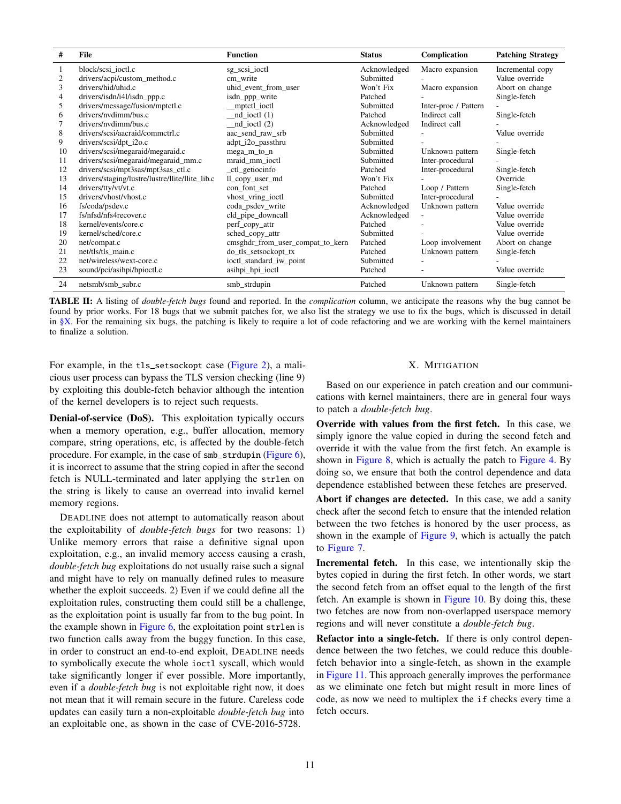<span id="page-10-1"></span>

| #  | File                                            | <b>Function</b>                  | <b>Status</b> | Complication         | <b>Patching Strategy</b> |
|----|-------------------------------------------------|----------------------------------|---------------|----------------------|--------------------------|
|    | block/scsi_ioctl.c                              | sg_scsi_ioctl                    | Acknowledged  | Macro expansion      | Incremental copy         |
| 2  | drivers/acpi/custom_method.c                    | cm write                         | Submitted     |                      | Value override           |
| 3  | drivers/hid/uhid.c                              | uhid_event_from_user             | Won't Fix     | Macro expansion      | Abort on change          |
| 4  | drivers/isdn/i4l/isdn_ppp.c                     | isdn_ppp_write                   | Patched       |                      | Single-fetch             |
| 5  | drivers/message/fusion/mptctl.c                 | _mptctl_ioctl                    | Submitted     | Inter-proc / Pattern |                          |
| 6  | drivers/nydimm/bus.c                            | $\mod$ ioctl (1)                 | Patched       | Indirect call        | Single-fetch             |
|    | drivers/nydimm/bus.c                            | $mod$ ioctl $(2)$                | Acknowledged  | Indirect call        |                          |
| 8  | drivers/scsi/aacraid/commetrl.c                 | aac_send_raw_srb                 | Submitted     |                      | Value override           |
| 9  | drivers/scsi/dpt_i2o.c                          | adpt_i2o_passthru                | Submitted     |                      |                          |
| 10 | drivers/scsi/megaraid/megaraid.c                | $mega_m_to_n$                    | Submitted     | Unknown pattern      | Single-fetch             |
| 11 | drivers/scsi/megaraid/megaraid_mm.c             | mraid_mm_ioctl                   | Submitted     | Inter-procedural     |                          |
| 12 | drivers/scsi/mpt3sas/mpt3sas_ctl.c              | _ctl_getiocinfo                  | Patched       | Inter-procedural     | Single-fetch             |
| 13 | drivers/staging/lustre/lustre/llite/llite_lib.c | ll_copy_user_md                  | Won't Fix     |                      | Override                 |
| 14 | drivers/tty/vt/vt.c                             | con_font_set                     | Patched       | Loop / Pattern       | Single-fetch             |
| 15 | drivers/yhost/yhost.c                           | vhost_vring_ioctl                | Submitted     | Inter-procedural     |                          |
| 16 | fs/coda/psdev.c                                 | coda_psdev_write                 | Acknowledged  | Unknown pattern      | Value override           |
| 17 | fs/nfsd/nfs4recover.c                           | cld_pipe_downcall                | Acknowledged  |                      | Value override           |
| 18 | kernel/events/core.c                            | perf_copy_attr                   | Patched       |                      | Value override           |
| 19 | kernel/sched/core.c                             | sched_copy_attr                  | Submitted     |                      | Value override           |
| 20 | net/compat.c                                    | cmsghdr_from_user_compat_to_kern | Patched       | Loop involvement     | Abort on change          |
| 21 | net/tls/tls_main.c                              | do_tls_setsockopt_tx             | Patched       | Unknown pattern      | Single-fetch             |
| 22 | net/wireless/wext-core.c                        | ioctl_standard_iw_point          | Submitted     |                      |                          |
| 23 | sound/pci/asihpi/hpioctl.c                      | asihpi_hpi_ioctl                 | Patched       |                      | Value override           |
| 24 | netsmb/smb subr.c                               | smb_strdupin                     | Patched       | Unknown pattern      | Single-fetch             |

TABLE II: A listing of *double-fetch bugs* found and reported. In the *complication* column, we anticipate the reasons why the bug cannot be found by prior works. For 18 bugs that we submit patches for, we also list the strategy we use to fix the bugs, which is discussed in detail in [§X.](#page-10-0) For the remaining six bugs, the patching is likely to require a lot of code refactoring and we are working with the kernel maintainers to finalize a solution.

For example, in the tls\_setsockopt case [\(Figure 2\)](#page-2-1), a malicious user process can bypass the TLS version checking (line 9) by exploiting this double-fetch behavior although the intention of the kernel developers is to reject such requests.

Denial-of-service (DoS). This exploitation typically occurs when a memory operation, e.g., buffer allocation, memory compare, string operations, etc, is affected by the double-fetch procedure. For example, in the case of smb\_strdupin [\(Figure 6\)](#page-9-2), it is incorrect to assume that the string copied in after the second fetch is NULL-terminated and later applying the strlen on the string is likely to cause an overread into invalid kernel memory regions.

DEADLINE does not attempt to automatically reason about the exploitability of *double-fetch bugs* for two reasons: 1) Unlike memory errors that raise a definitive signal upon exploitation, e.g., an invalid memory access causing a crash, *double-fetch bug* exploitations do not usually raise such a signal and might have to rely on manually defined rules to measure whether the exploit succeeds. 2) Even if we could define all the exploitation rules, constructing them could still be a challenge, as the exploitation point is usually far from to the bug point. In the example shown in [Figure 6,](#page-9-2) the exploitation point strlen is two function calls away from the buggy function. In this case, in order to construct an end-to-end exploit, DEADLINE needs to symbolically execute the whole ioctl syscall, which would take significantly longer if ever possible. More importantly, even if a *double-fetch bug* is not exploitable right now, it does not mean that it will remain secure in the future. Careless code updates can easily turn a non-exploitable *double-fetch bug* into an exploitable one, as shown in the case of CVE-2016-5728.

## X. MITIGATION

<span id="page-10-0"></span>Based on our experience in patch creation and our communications with kernel maintainers, there are in general four ways to patch a *double-fetch bug*.

Override with values from the first fetch. In this case, we simply ignore the value copied in during the second fetch and override it with the value from the first fetch. An example is shown in [Figure 8,](#page-16-0) which is actually the patch to [Figure 4.](#page-7-0) By doing so, we ensure that both the control dependence and data dependence established between these fetches are preserved.

Abort if changes are detected. In this case, we add a sanity check after the second fetch to ensure that the intended relation between the two fetches is honored by the user process, as shown in the example of [Figure 9,](#page-16-1) which is actually the patch to [Figure 7.](#page-14-1)

Incremental fetch. In this case, we intentionally skip the bytes copied in during the first fetch. In other words, we start the second fetch from an offset equal to the length of the first fetch. An example is shown in [Figure 10.](#page-16-2) By doing this, these two fetches are now from non-overlapped userspace memory regions and will never constitute a *double-fetch bug*.

Refactor into a single-fetch. If there is only control dependence between the two fetches, we could reduce this doublefetch behavior into a single-fetch, as shown in the example in [Figure 11.](#page-17-0) This approach generally improves the performance as we eliminate one fetch but might result in more lines of code, as now we need to multiplex the if checks every time a fetch occurs.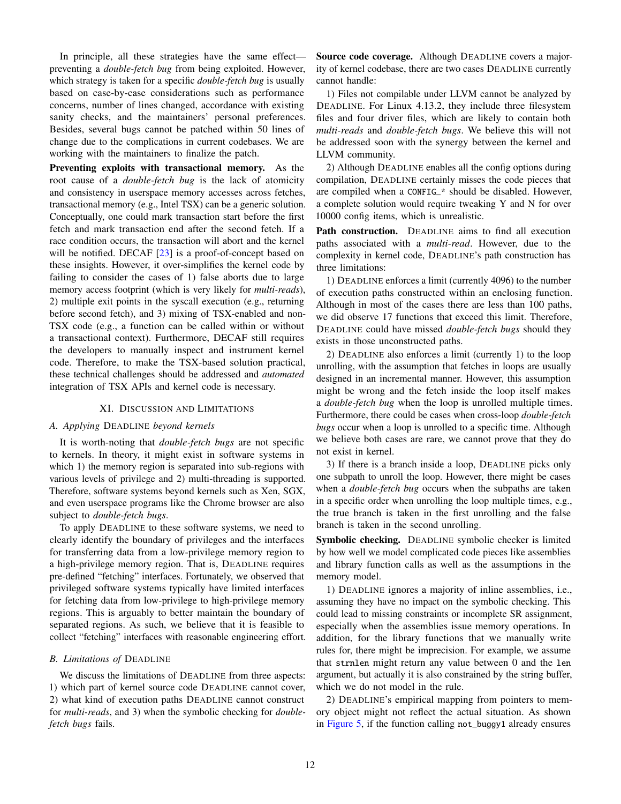In principle, all these strategies have the same effect preventing a *double-fetch bug* from being exploited. However, which strategy is taken for a specific *double-fetch bug* is usually based on case-by-case considerations such as performance concerns, number of lines changed, accordance with existing sanity checks, and the maintainers' personal preferences. Besides, several bugs cannot be patched within 50 lines of change due to the complications in current codebases. We are working with the maintainers to finalize the patch.

Preventing exploits with transactional memory. As the root cause of a *double-fetch bug* is the lack of atomicity and consistency in userspace memory accesses across fetches, transactional memory (e.g., Intel TSX) can be a generic solution. Conceptually, one could mark transaction start before the first fetch and mark transaction end after the second fetch. If a race condition occurs, the transaction will abort and the kernel will be notified. DECAF [\[23\]](#page-13-21) is a proof-of-concept based on these insights. However, it over-simplifies the kernel code by failing to consider the cases of 1) false aborts due to large memory access footprint (which is very likely for *multi-reads*), 2) multiple exit points in the syscall execution (e.g., returning before second fetch), and 3) mixing of TSX-enabled and non-TSX code (e.g., a function can be called within or without a transactional context). Furthermore, DECAF still requires the developers to manually inspect and instrument kernel code. Therefore, to make the TSX-based solution practical, these technical challenges should be addressed and *automated* integration of TSX APIs and kernel code is necessary.

## XI. DISCUSSION AND LIMITATIONS

#### <span id="page-11-0"></span>*A. Applying* DEADLINE *beyond kernels*

It is worth-noting that *double-fetch bugs* are not specific to kernels. In theory, it might exist in software systems in which 1) the memory region is separated into sub-regions with various levels of privilege and 2) multi-threading is supported. Therefore, software systems beyond kernels such as Xen, SGX, and even userspace programs like the Chrome browser are also subject to *double-fetch bugs*.

To apply DEADLINE to these software systems, we need to clearly identify the boundary of privileges and the interfaces for transferring data from a low-privilege memory region to a high-privilege memory region. That is, DEADLINE requires pre-defined "fetching" interfaces. Fortunately, we observed that privileged software systems typically have limited interfaces for fetching data from low-privilege to high-privilege memory regions. This is arguably to better maintain the boundary of separated regions. As such, we believe that it is feasible to collect "fetching" interfaces with reasonable engineering effort.

## *B. Limitations of* DEADLINE

We discuss the limitations of DEADLINE from three aspects: 1) which part of kernel source code DEADLINE cannot cover, 2) what kind of execution paths DEADLINE cannot construct for *multi-reads*, and 3) when the symbolic checking for *doublefetch bugs* fails.

Source code coverage. Although DEADLINE covers a majority of kernel codebase, there are two cases DEADLINE currently cannot handle:

1) Files not compilable under LLVM cannot be analyzed by DEADLINE. For Linux 4.13.2, they include three filesystem files and four driver files, which are likely to contain both *multi-reads* and *double-fetch bugs*. We believe this will not be addressed soon with the synergy between the kernel and LLVM community.

2) Although DEADLINE enables all the config options during compilation, DEADLINE certainly misses the code pieces that are compiled when a CONFIG\_\* should be disabled. However, a complete solution would require tweaking Y and N for over 10000 config items, which is unrealistic.

Path construction. DEADLINE aims to find all execution paths associated with a *multi-read*. However, due to the complexity in kernel code, DEADLINE's path construction has three limitations:

1) DEADLINE enforces a limit (currently 4096) to the number of execution paths constructed within an enclosing function. Although in most of the cases there are less than 100 paths, we did observe 17 functions that exceed this limit. Therefore, DEADLINE could have missed *double-fetch bugs* should they exists in those unconstructed paths.

2) DEADLINE also enforces a limit (currently 1) to the loop unrolling, with the assumption that fetches in loops are usually designed in an incremental manner. However, this assumption might be wrong and the fetch inside the loop itself makes a *double-fetch bug* when the loop is unrolled multiple times. Furthermore, there could be cases when cross-loop *double-fetch bugs* occur when a loop is unrolled to a specific time. Although we believe both cases are rare, we cannot prove that they do not exist in kernel.

3) If there is a branch inside a loop, DEADLINE picks only one subpath to unroll the loop. However, there might be cases when a *double-fetch bug* occurs when the subpaths are taken in a specific order when unrolling the loop multiple times, e.g., the true branch is taken in the first unrolling and the false branch is taken in the second unrolling.

Symbolic checking. DEADLINE symbolic checker is limited by how well we model complicated code pieces like assemblies and library function calls as well as the assumptions in the memory model.

1) DEADLINE ignores a majority of inline assemblies, i.e., assuming they have no impact on the symbolic checking. This could lead to missing constraints or incomplete SR assignment, especially when the assemblies issue memory operations. In addition, for the library functions that we manually write rules for, there might be imprecision. For example, we assume that strnlen might return any value between 0 and the len argument, but actually it is also constrained by the string buffer, which we do not model in the rule.

2) DEADLINE's empirical mapping from pointers to memory object might not reflect the actual situation. As shown in [Figure 5,](#page-7-1) if the function calling not\_buggy1 already ensures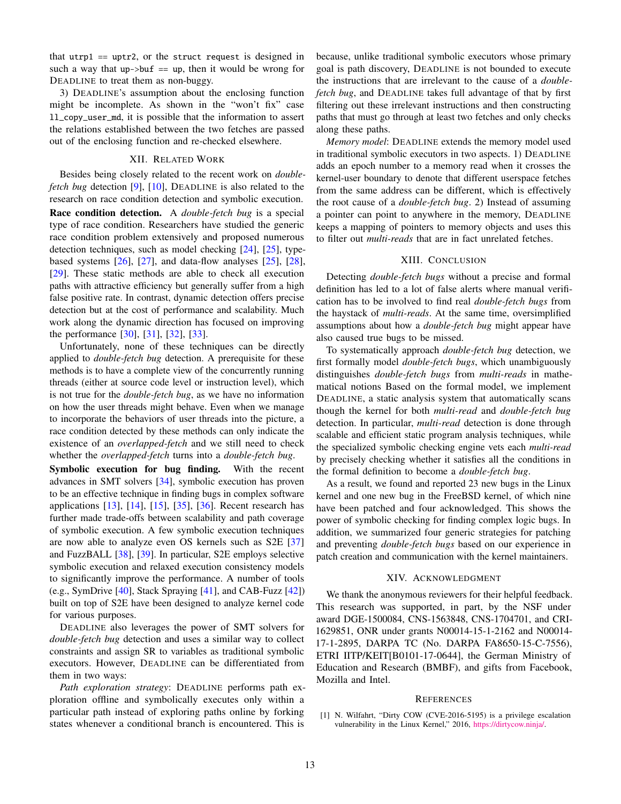that  $utrp1 == uptr2$ , or the struct request is designed in such a way that up- $>$ buf == up, then it would be wrong for DEADLINE to treat them as non-buggy.

3) DEADLINE's assumption about the enclosing function might be incomplete. As shown in the "won't fix" case ll\_copy\_user\_md, it is possible that the information to assert the relations established between the two fetches are passed out of the enclosing function and re-checked elsewhere.

## XII. RELATED WORK

<span id="page-12-1"></span>Besides being closely related to the recent work on *doublefetch bug* detection [\[9\]](#page-13-7), [\[10\]](#page-13-8), DEADLINE is also related to the research on race condition detection and symbolic execution. Race condition detection. A *double-fetch bug* is a special type of race condition. Researchers have studied the generic race condition problem extensively and proposed numerous detection techniques, such as model checking [\[24\]](#page-13-22), [\[25\]](#page-13-23), typebased systems  $[26]$ ,  $[27]$ , and data-flow analyses  $[25]$ ,  $[28]$ , [\[29\]](#page-13-27). These static methods are able to check all execution paths with attractive efficiency but generally suffer from a high false positive rate. In contrast, dynamic detection offers precise detection but at the cost of performance and scalability. Much work along the dynamic direction has focused on improving the performance [\[30\]](#page-13-28), [\[31\]](#page-13-29), [\[32\]](#page-13-30), [\[33\]](#page-13-31).

Unfortunately, none of these techniques can be directly applied to *double-fetch bug* detection. A prerequisite for these methods is to have a complete view of the concurrently running threads (either at source code level or instruction level), which is not true for the *double-fetch bug*, as we have no information on how the user threads might behave. Even when we manage to incorporate the behaviors of user threads into the picture, a race condition detected by these methods can only indicate the existence of an *overlapped-fetch* and we still need to check whether the *overlapped-fetch* turns into a *double-fetch bug*.

Symbolic execution for bug finding. With the recent advances in SMT solvers [\[34\]](#page-13-32), symbolic execution has proven to be an effective technique in finding bugs in complex software applications [\[13\]](#page-13-11), [\[14\]](#page-13-12), [\[15\]](#page-13-13), [\[35\]](#page-13-33), [\[36\]](#page-13-34). Recent research has further made trade-offs between scalability and path coverage of symbolic execution. A few symbolic execution techniques are now able to analyze even OS kernels such as S2E [\[37\]](#page-13-35) and FuzzBALL [\[38\]](#page-13-36), [\[39\]](#page-13-37). In particular, S2E employs selective symbolic execution and relaxed execution consistency models to significantly improve the performance. A number of tools (e.g., SymDrive  $[40]$ , Stack Spraying  $[41]$ , and CAB-Fuzz  $[42]$ ) built on top of S2E have been designed to analyze kernel code for various purposes.

DEADLINE also leverages the power of SMT solvers for *double-fetch bug* detection and uses a similar way to collect constraints and assign SR to variables as traditional symbolic executors. However, DEADLINE can be differentiated from them in two ways:

*Path exploration strategy*: DEADLINE performs path exploration offline and symbolically executes only within a particular path instead of exploring paths online by forking states whenever a conditional branch is encountered. This is

because, unlike traditional symbolic executors whose primary goal is path discovery, DEADLINE is not bounded to execute the instructions that are irrelevant to the cause of a *doublefetch bug*, and DEADLINE takes full advantage of that by first filtering out these irrelevant instructions and then constructing paths that must go through at least two fetches and only checks along these paths.

*Memory model*: DEADLINE extends the memory model used in traditional symbolic executors in two aspects. 1) DEADLINE adds an epoch number to a memory read when it crosses the kernel-user boundary to denote that different userspace fetches from the same address can be different, which is effectively the root cause of a *double-fetch bug*. 2) Instead of assuming a pointer can point to anywhere in the memory, DEADLINE keeps a mapping of pointers to memory objects and uses this to filter out *multi-reads* that are in fact unrelated fetches.

# XIII. CONCLUSION

<span id="page-12-2"></span>Detecting *double-fetch bugs* without a precise and formal definition has led to a lot of false alerts where manual verification has to be involved to find real *double-fetch bugs* from the haystack of *multi-reads*. At the same time, oversimplified assumptions about how a *double-fetch bug* might appear have also caused true bugs to be missed.

To systematically approach *double-fetch bug* detection, we first formally model *double-fetch bugs*, which unambiguously distinguishes *double-fetch bugs* from *multi-reads* in mathematical notions Based on the formal model, we implement DEADLINE, a static analysis system that automatically scans though the kernel for both *multi-read* and *double-fetch bug* detection. In particular, *multi-read* detection is done through scalable and efficient static program analysis techniques, while the specialized symbolic checking engine vets each *multi-read* by precisely checking whether it satisfies all the conditions in the formal definition to become a *double-fetch bug*.

As a result, we found and reported 23 new bugs in the Linux kernel and one new bug in the FreeBSD kernel, of which nine have been patched and four acknowledged. This shows the power of symbolic checking for finding complex logic bugs. In addition, we summarized four generic strategies for patching and preventing *double-fetch bugs* based on our experience in patch creation and communication with the kernel maintainers.

#### XIV. ACKNOWLEDGMENT

We thank the anonymous reviewers for their helpful feedback. This research was supported, in part, by the NSF under award DGE-1500084, CNS-1563848, CNS-1704701, and CRI-1629851, ONR under grants N00014-15-1-2162 and N00014- 17-1-2895, DARPA TC (No. DARPA FA8650-15-C-7556), ETRI IITP/KEIT[B0101-17-0644], the German Ministry of Education and Research (BMBF), and gifts from Facebook, Mozilla and Intel.

#### **REFERENCES**

<span id="page-12-0"></span>[1] N. Wilfahrt, "Dirty COW (CVE-2016-5195) is a privilege escalation vulnerability in the Linux Kernel," 2016, [https://dirtycow.ninja/.](https://dirtycow.ninja/)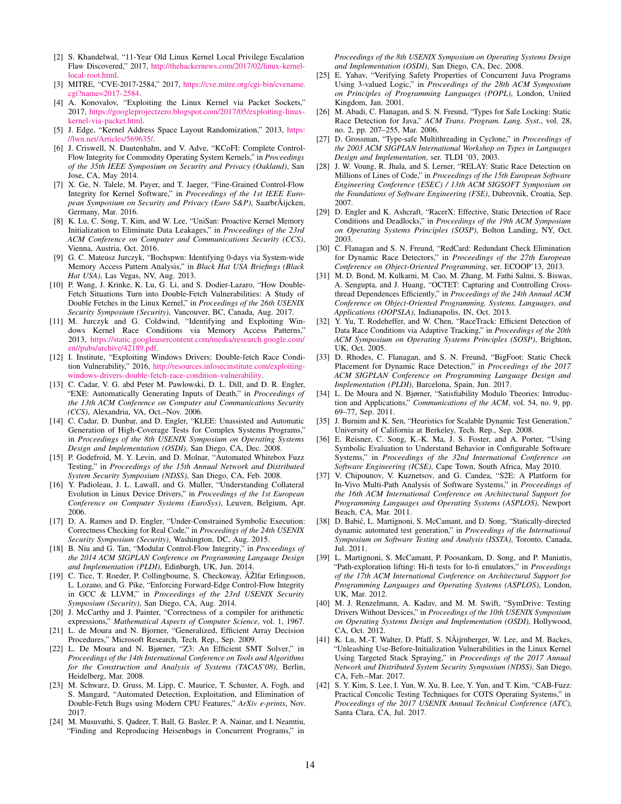- <span id="page-13-0"></span>[2] S. Khandelwal, "11-Year Old Linux Kernel Local Privilege Escalation Flaw Discovered," 2017, [http://thehackernews.com/2017/02/linux-kernel](http://thehackernews.com/2017/02/linux-kernel-local-root.html)[local-root.html.](http://thehackernews.com/2017/02/linux-kernel-local-root.html)
- <span id="page-13-1"></span>[3] MITRE, "CVE-2017-2584," 2017, [https://cve.mitre.org/cgi-bin/cvename.](https://cve.mitre.org/cgi-bin/cvename.cgi?name=2017-2584) [cgi?name=2017-2584.](https://cve.mitre.org/cgi-bin/cvename.cgi?name=2017-2584)
- <span id="page-13-2"></span>[4] A. Konovalov, "Exploiting the Linux Kernel via Packet Sockets," 2017, [https://googleprojectzero.blogspot.com/2017/05/exploiting-linux](https://googleprojectzero.blogspot.com/2017/05/exploiting-linux-kernel-via-packet.html)[kernel-via-packet.html.](https://googleprojectzero.blogspot.com/2017/05/exploiting-linux-kernel-via-packet.html)
- <span id="page-13-3"></span>[5] J. Edge, "Kernel Address Space Layout Randomization," 2013, [https:](https://lwn.net/Articles/569635/) [//lwn.net/Articles/569635/.](https://lwn.net/Articles/569635/)
- <span id="page-13-4"></span>[6] J. Criswell, N. Dautenhahn, and V. Adve, "KCoFI: Complete Control-Flow Integrity for Commodity Operating System Kernels," in *Proceedings of the 35th IEEE Symposium on Security and Privacy (Oakland)*, San Jose, CA, May 2014.
- <span id="page-13-5"></span>[7] X. Ge, N. Talele, M. Payer, and T. Jaeger, "Fine-Grained Control-Flow Integrity for Kernel Software," in *Proceedings of the 1st IEEE European Symposium on Security and Privacy (Euro S&P)*, SaarbrÃijcken, Germany, Mar. 2016.
- <span id="page-13-6"></span>[8] K. Lu, C. Song, T. Kim, and W. Lee, "UniSan: Proactive Kernel Memory Initialization to Eliminate Data Leakages," in *Proceedings of the 23rd ACM Conference on Computer and Communications Security (CCS)*, Vienna, Austria, Oct. 2016.
- <span id="page-13-7"></span>[9] G. C. Mateusz Jurczyk, "Bochspwn: Identifying 0-days via System-wide Memory Access Pattern Analysis," in *Black Hat USA Briefings (Black Hat USA)*, Las Vegas, NV, Aug. 2013.
- <span id="page-13-8"></span>[10] P. Wang, J. Krinke, K. Lu, G. Li, and S. Dodier-Lazaro, "How Double-Fetch Situations Turn into Double-Fetch Vulnerabilities: A Study of Double Fetches in the Linux Kernel," in *Proceedings of the 26th USENIX Security Symposium (Security)*, Vancouver, BC, Canada, Aug. 2017.
- <span id="page-13-9"></span>[11] M. Jurczyk and G. Coldwind, "Identifying and Exploiting Windows Kernel Race Conditions via Memory Access Patterns," 2013, [https://static.googleusercontent.com/media/research.google.com/](https://static.googleusercontent.com/media/research.google.com/en//pubs/archive/42189.pdf) [en//pubs/archive/42189.pdf.](https://static.googleusercontent.com/media/research.google.com/en//pubs/archive/42189.pdf)
- <span id="page-13-10"></span>[12] I. Institute, "Exploiting Windows Drivers: Double-fetch Race Condition Vulnerability," 2016, [http://resources.infosecinstitute.com/exploiting](http://resources.infosecinstitute.com/exploiting-windows-drivers-double-fetch-race-condition-vulnerability)[windows-drivers-double-fetch-race-condition-vulnerability.](http://resources.infosecinstitute.com/exploiting-windows-drivers-double-fetch-race-condition-vulnerability)
- <span id="page-13-11"></span>[13] C. Cadar, V. G. abd Peter M. Pawlowski, D. L. Dill, and D. R. Engler, "EXE: Automatically Generating Inputs of Death," in *Proceedings of the 13th ACM Conference on Computer and Communications Security (CCS)*, Alexandria, VA, Oct.–Nov. 2006.
- <span id="page-13-12"></span>[14] C. Cadar, D. Dunbar, and D. Engler, "KLEE: Unassisted and Automatic Generation of High-Coverage Tests for Complex Systems Programs," in *Proceedings of the 8th USENIX Symposium on Operating Systems Design and Implementation (OSDI)*, San Diego, CA, Dec. 2008.
- <span id="page-13-13"></span>[15] P. Godefroid, M. Y. Levin, and D. Molnar, "Automated Whitebox Fuzz Testing," in *Proceedings of the 15th Annual Network and Distributed System Security Symposium (NDSS)*, San Diego, CA, Feb. 2008.
- <span id="page-13-14"></span>[16] Y. Padioleau, J. L. Lawall, and G. Muller, "Understanding Collateral Evolution in Linux Device Drivers," in *Proceedings of the 1st European Conference on Computer Systems (EuroSys)*, Leuven, Belgium, Apr. 2006.
- <span id="page-13-15"></span>[17] D. A. Ramos and D. Engler, "Under-Constrained Symbolic Execution: Correctness Checking for Real Code," in *Proceedings of the 24th USENIX Security Symposium (Security)*, Washington, DC, Aug. 2015.
- <span id="page-13-16"></span>[18] B. Niu and G. Tan, "Modular Control-Flow Integrity," in *Proceedings of the 2014 ACM SIGPLAN Conference on Programming Language Design and Implementation (PLDI)*, Edinburgh, UK, Jun. 2014.
- <span id="page-13-17"></span>[19] C. Tice, T. Roeder, P. Collingbourne, S. Checkoway, ÃŽlfar Erlingsson, L. Lozano, and G. Pike, "Enforcing Forward-Edge Control-Flow Integrity in GCC & LLVM," in *Proceedings of the 23rd USENIX Security Symposium (Security)*, San Diego, CA, Aug. 2014.
- <span id="page-13-18"></span>[20] J. McCarthy and J. Painter, "Correctness of a compiler for arithmetic expressions," *Mathematical Aspects of Computer Science*, vol. 1, 1967.
- <span id="page-13-19"></span>[21] L. de Moura and N. Bjorner, "Generalized, Efficient Array Decision Procedures," Microsoft Research, Tech. Rep., Sep. 2009.
- <span id="page-13-20"></span>[22] L. De Moura and N. Bjørner, "Z3: An Efficient SMT Solver," in *Proceedings of the 14th International Conference on Tools and Algorithms for the Construction and Analysis of Systems (TACAS'08)*, Berlin, Heidelberg, Mar. 2008.
- <span id="page-13-21"></span>[23] M. Schwarz, D. Gruss, M. Lipp, C. Maurice, T. Schuster, A. Fogh, and S. Mangard, "Automated Detection, Exploitation, and Elimination of Double-Fetch Bugs using Modern CPU Features," *ArXiv e-prints*, Nov. 2017.
- <span id="page-13-22"></span>[24] M. Musuvathi, S. Qadeer, T. Ball, G. Basler, P. A. Nainar, and I. Neamtiu, "Finding and Reproducing Heisenbugs in Concurrent Programs," in

*Proceedings of the 8th USENIX Symposium on Operating Systems Design and Implementation (OSDI)*, San Diego, CA, Dec. 2008.

- <span id="page-13-23"></span>[25] E. Yahav, "Verifying Safety Properties of Concurrent Java Programs Using 3-valued Logic," in *Proceedings of the 28th ACM Symposium on Principles of Programming Languages (POPL)*, London, United Kingdom, Jan. 2001.
- <span id="page-13-24"></span>[26] M. Abadi, C. Flanagan, and S. N. Freund, "Types for Safe Locking: Static Race Detection for Java," *ACM Trans. Program. Lang. Syst.*, vol. 28, no. 2, pp. 207–255, Mar. 2006.
- <span id="page-13-25"></span>[27] D. Grossman, "Type-safe Multithreading in Cyclone," in *Proceedings of the 2003 ACM SIGPLAN International Workshop on Types in Languages Design and Implementation*, ser. TLDI '03, 2003.
- <span id="page-13-26"></span>[28] J. W. Voung, R. Jhala, and S. Lerner, "RELAY: Static Race Detection on Millions of Lines of Code," in *Proceedings of the 15th European Software Engineering Conference (ESEC) / 13th ACM SIGSOFT Symposium on the Foundations of Software Engineering (FSE)*, Dubrovnik, Croatia, Sep. 2007.
- <span id="page-13-27"></span>[29] D. Engler and K. Ashcraft, "RacerX: Effective, Static Detection of Race Conditions and Deadlocks," in *Proceedings of the 19th ACM Symposium on Operating Systems Principles (SOSP)*, Bolton Landing, NY, Oct. 2003.
- <span id="page-13-28"></span>[30] C. Flanagan and S. N. Freund, "RedCard: Redundant Check Elimination for Dynamic Race Detectors," in *Proceedings of the 27th European Conference on Object-Oriented Programming*, ser. ECOOP'13, 2013.
- <span id="page-13-29"></span>[31] M. D. Bond, M. Kulkarni, M. Cao, M. Zhang, M. Fathi Salmi, S. Biswas, A. Sengupta, and J. Huang, "OCTET: Capturing and Controlling Crossthread Dependences Efficiently," in *Proceedings of the 24th Annual ACM Conference on Object-Oriented Programming, Systems, Languages, and Applications (OOPSLA)*, Indianapolis, IN, Oct. 2013.
- <span id="page-13-30"></span>[32] Y. Yu, T. Rodeheffer, and W. Chen, "RaceTrack: Efficient Detection of Data Race Conditions via Adaptive Tracking," in *Proceedings of the 20th ACM Symposium on Operating Systems Principles (SOSP)*, Brighton, UK, Oct. 2005.
- <span id="page-13-31"></span>[33] D. Rhodes, C. Flanagan, and S. N. Freund, "BigFoot: Static Check Placement for Dynamic Race Detection," in *Proceedings of the 2017 ACM SIGPLAN Conference on Programming Language Design and Implementation (PLDI)*, Barcelona, Spain, Jun. 2017.
- <span id="page-13-32"></span>[34] L. De Moura and N. Bjørner, "Satisfiability Modulo Theories: Introduction and Applications," *Communications of the ACM*, vol. 54, no. 9, pp. 69–77, Sep. 2011.
- <span id="page-13-33"></span>[35] J. Burnim and K. Sen, "Heuristics for Scalable Dynamic Test Generation," University of California at Berkeley, Tech. Rep., Sep. 2008.
- <span id="page-13-34"></span>[36] E. Reisner, C. Song, K.-K. Ma, J. S. Foster, and A. Porter, "Using Symbolic Evaluation to Understand Behavior in Configurable Software Systems," in *Proceedings of the 32nd International Conference on Software Engineering (ICSE)*, Cape Town, South Africa, May 2010.
- <span id="page-13-35"></span>[37] V. Chipounov, V. Kuznetsov, and G. Candea, "S2E: A Platform for In-Vivo Multi-Path Analysis of Software Systems," in *Proceedings of the 16th ACM International Conference on Architectural Support for Programming Languages and Operating Systems (ASPLOS)*, Newport Beach, CA, Mar. 2011.
- <span id="page-13-36"></span>[38] D. Babić, L. Martignoni, S. McCamant, and D. Song, "Statically-directed dynamic automated test generation," in *Proceedings of the International Symposium on Software Testing and Analysis (ISSTA)*, Toronto, Canada, Jul. 2011.
- <span id="page-13-37"></span>[39] L. Martignoni, S. McCamant, P. Poosankam, D. Song, and P. Maniatis, "Path-exploration lifting: Hi-fi tests for lo-fi emulators," in *Proceedings of the 17th ACM International Conference on Architectural Support for Programming Languages and Operating Systems (ASPLOS)*, London, UK, Mar. 2012.
- <span id="page-13-38"></span>[40] M. J. Renzelmann, A. Kadav, and M. M. Swift, "SymDrive: Testing Drivers Without Devices," in *Proceedings of the 10th USENIX Symposium on Operating Systems Design and Implementation (OSDI)*, Hollywood, CA, Oct. 2012.
- <span id="page-13-39"></span>[41] K. Lu, M.-T. Walter, D. Pfaff, S. NÄijrnberger, W. Lee, and M. Backes, "Unleashing Use-Before-Initialization Vulnerabilities in the Linux Kernel Using Targeted Stack Spraying," in *Proceedings of the 2017 Annual Network and Distributed System Security Symposium (NDSS)*, San Diego, CA, Feb.–Mar. 2017.
- <span id="page-13-40"></span>[42] S. Y. Kim, S. Lee, I. Yun, W. Xu, B. Lee, Y. Yun, and T. Kim, "CAB-Fuzz: Practical Concolic Testing Techniques for COTS Operating Systems," in *Proceedings of the 2017 USENIX Annual Technical Conference (ATC)*, Santa Clara, CA, Jul. 2017.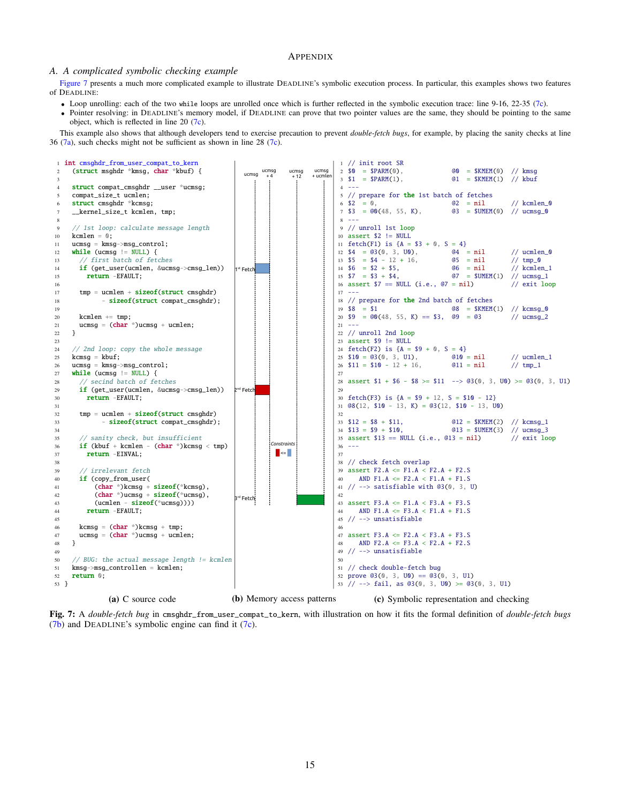## APPENDIX

## <span id="page-14-0"></span>*A. A complicated symbolic checking example*

[Figure 7](#page-14-1) presents a much more complicated example to illustrate DEADLINE's symbolic execution process. In particular, this examples shows two features of DEADLINE:

- Loop unrolling: each of the two while loops are unrolled once which is further reflected in the symbolic execution trace: line 9-16, 22-35 [\(7c\)](#page-14-1).
- Pointer resolving: in DEADLINE's memory model, if DEADLINE can prove that two pointer values are the same, they should be pointing to the same object, which is reflected in line 20 [\(7c\)](#page-14-1).

This example also shows that although developers tend to exercise precaution to prevent *double-fetch bugs*, for example, by placing the sanity checks at line [\(7a\)](#page-14-1), such checks might not be sufficient as shown in line 28 [\(7c\)](#page-14-1).

<span id="page-14-1"></span>

Fig. 7: A *double-fetch bug* in cmsghdr\_from\_user\_compat\_to\_kern, with illustration on how it fits the formal definition of *double-fetch bugs* [\(7b\)](#page-14-1) and DEADLINE's symbolic engine can find it [\(7c\)](#page-14-1).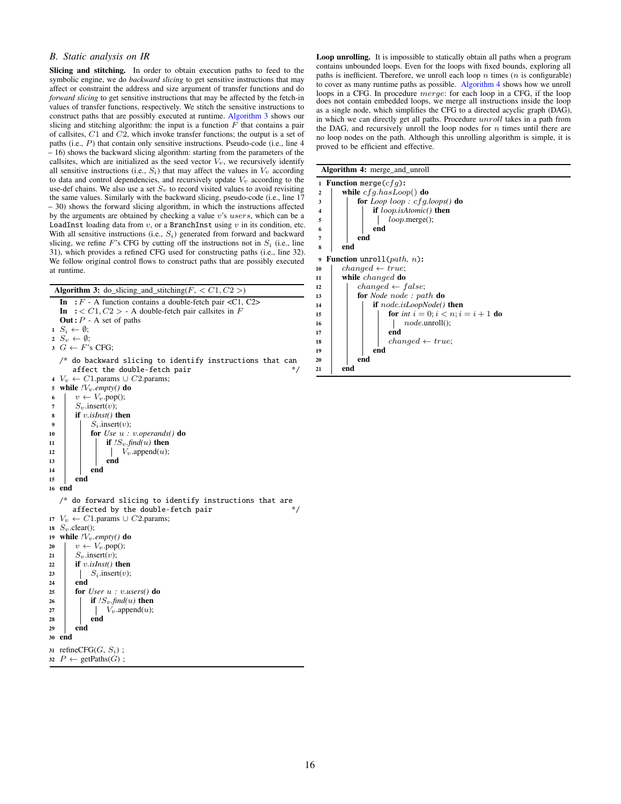## <span id="page-15-0"></span>*B. Static analysis on IR*

Slicing and stitching. In order to obtain execution paths to feed to the symbolic engine, we do *backward slicing* to get sensitive instructions that may affect or constraint the address and size argument of transfer functions and do *forward slicing* to get sensitive instructions that may be affected by the fetch-in values of transfer functions, respectively. We stitch the sensitive instructions to construct paths that are possibly executed at runtime. [Algorithm 3](#page-15-1) shows our slicing and stitching algorithm: the input is a function  $F$  that contains a pair of callsites, C1 and C2, which invoke transfer functions; the output is a set of paths (i.e., P) that contain only sensitive instructions. Pseudo-code (i.e., line 4 – 16) shows the backward slicing algorithm: starting from the parameters of the callsites, which are initialized as the seed vector  $V_v$ , we recursively identify all sensitive instructions (i.e.,  $S_i$ ) that may affect the values in  $V_v$  according to data and control dependencies, and recursively update  $V_v$  according to the use-def chains. We also use a set  $S_v$  to record visited values to avoid revisiting the same values. Similarly with the backward slicing, pseudo-code (i.e., line 17 – 30) shows the forward slicing algorithm, in which the instructions affected by the arguments are obtained by checking a value v's users, which can be a LoadInst loading data from  $v$ , or a BranchInst using  $v$  in its condition, etc. With all sensitive instructions (i.e.,  $S_i$ ) generated from forward and backward slicing, we refine  $F$ 's CFG by cutting off the instructions not in  $S_i$  (i.e., line 31), which provides a refined CFG used for constructing paths (i.e., line 32). We follow original control flows to construct paths that are possibly executed at runtime.

<span id="page-15-1"></span>

| <b>Algorithm 3:</b> do_slicing_and_stitching( $F, < C1, C2 >$ )     |  |  |  |  |  |
|---------------------------------------------------------------------|--|--|--|--|--|
| In : $F$ - A function contains a double-fetch pair < C1, C2>        |  |  |  |  |  |
| In : $\langle C1, C2 \rangle$ - A double-fetch pair callsites in F  |  |  |  |  |  |
| <b>Out</b> : $P - A$ set of paths                                   |  |  |  |  |  |
| $1 S_i \leftarrow \emptyset;$                                       |  |  |  |  |  |
| $2 S_v \leftarrow \emptyset$ ;                                      |  |  |  |  |  |
| $G \leftarrow F$ 's CFG;                                            |  |  |  |  |  |
| $\frac{1}{2}$ do backward slicing to identify instructions that can |  |  |  |  |  |
| affect the double-fetch pair<br>*/                                  |  |  |  |  |  |
| $V_v \leftarrow C1$ .params $\cup C2$ .params;<br>4                 |  |  |  |  |  |
| while $/V_v$ . empty() do<br>5                                      |  |  |  |  |  |
| $v \leftarrow V_v.\text{pop}$ .<br>6                                |  |  |  |  |  |
| $S_v$ insert(v);<br>7                                               |  |  |  |  |  |
| if $v.isInst()$ then<br>8                                           |  |  |  |  |  |
| $S_i$ .insert $(v)$ ;<br>9                                          |  |  |  |  |  |
| for <i>Use</i> $u : v.operands()$ do<br>10                          |  |  |  |  |  |
| if $!S_v$ , find(u) then<br>11                                      |  |  |  |  |  |
| $Vv$ append( <i>u</i> );<br>12                                      |  |  |  |  |  |
| end<br>13                                                           |  |  |  |  |  |
| end<br>14                                                           |  |  |  |  |  |
| end<br>15                                                           |  |  |  |  |  |
| end<br>16                                                           |  |  |  |  |  |
| $/*$ do forward slicing to identify instructions that are           |  |  |  |  |  |
| */<br>affected by the double-fetch pair                             |  |  |  |  |  |
| $V_v \leftarrow C1$ . params $\cup C2$ . params;<br>17              |  |  |  |  |  |
| $S_v$ .clear();<br>18                                               |  |  |  |  |  |
| while $/V_v$ <i>empty()</i> do<br>19                                |  |  |  |  |  |
| $v \leftarrow V_v.\text{pop}$ ;<br>20                               |  |  |  |  |  |
| $S_v$ insert(v);<br>21                                              |  |  |  |  |  |
| if $v.isInst()$ then<br>22                                          |  |  |  |  |  |
| $S_i$ insert(v);<br>23                                              |  |  |  |  |  |
| end<br>24                                                           |  |  |  |  |  |
| for <i>User</i> $u : v \cdot users()$ do<br>25                      |  |  |  |  |  |
| if $!S_v$ , find(u) then<br>26                                      |  |  |  |  |  |
| $V_v$ append $(u)$ ;<br>27                                          |  |  |  |  |  |
| end<br>28                                                           |  |  |  |  |  |
| end<br>29                                                           |  |  |  |  |  |
| end<br>30                                                           |  |  |  |  |  |
| 31 refineCFG $(G, S_i)$ ;                                           |  |  |  |  |  |
| $32 \, P \leftarrow \text{getPaths}(G)$ ;                           |  |  |  |  |  |
|                                                                     |  |  |  |  |  |

Loop unrolling. It is impossible to statically obtain all paths when a program contains unbounded loops. Even for the loops with fixed bounds, exploring all paths is inefficient. Therefore, we unroll each loop  $n$  times  $(n$  is configurable) to cover as many runtime paths as possible. [Algorithm 4](#page-15-2) shows how we unroll loops in a CFG. In procedure merge: for each loop in a CFG, if the loop does not contain embedded loops, we merge all instructions inside the loop as a single node, which simplifies the CFG to a directed acyclic graph (DAG), in which we can directly get all paths. Procedure *unroll* takes in a path from the DAG, and recursively unroll the loop nodes for  $n$  times until there are no loop nodes on the path. Although this unrolling algorithm is simple, it is proved to be efficient and effective.

<span id="page-15-2"></span>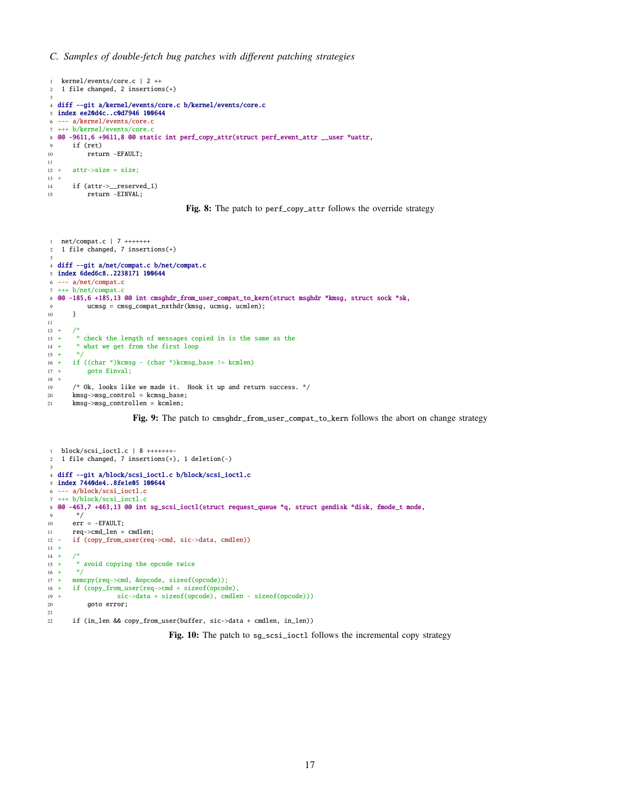*C. Samples of double-fetch bug patches with different patching strategies*

```
1 kernel/events/core.c | 2 ++
2 1 file changed, 2 insertions(+)
3
4 diff --git a/kernel/events/core.c b/kernel/events/core.c
5 index ee20d4c..c0d7946 100644
 6 --- a/kernel/events/core.c
7 +++ b/kernel/events/core.c
8 @@ -9611,6 +9611,8 @@ static int perf_copy_attr(struct perf_event_attr __user *uattr,
9 if (ret)
10 return -EFAULT;
11
12 + \text{attr} \rightarrow \text{size} = \text{size};
13 +
14 if (attr->__reserved_1)
15 return -EINVAL;
```


```
1 net/compat.c | 7 +++++++
2 1 file changed, 7 insertions(+)
 3
4 diff --git a/net/compat.c b/net/compat.c
5 index 6ded6c8..2238171 100644
 6 --- a/net/compact.c7 +++ b/net/compat.c
 8 @@ -185,6 +185,13 @@ int cmsghdr_from_user_compat_to_kern(struct msghdr *kmsg, struct sock *sk,
9 ucmsg = cmsg_compat_nxthdr(kmsg, ucmsg, ucmlen);
10 }
11
12 + /^*13 + * check the length of messages copied in is the same as the
14 + * what we get from the first loop
15 +16 + i \text{if } ((char * ) \text{kcmsg } - \text{ (char } * ) \text{kcmsg} \text{_base } != \text{kcmlen})17 + goto Einval;
18 +
19 /* Ok, looks like we made it. Hook it up and return success. */
20 kmsg->msg_control = kcmsg_base;
21 kmsg->msg_controllen = kcmlen;
```
Fig. 9: The patch to cmsghdr\_from\_user\_compat\_to\_kern follows the abort on change strategy

```
1 block/scsi_ioctl.c | 8 +++++++-
2 1 file changed, 7 insertions(+), 1 deletion(-)
 3
4 diff --git a/block/scsi_ioctl.c b/block/scsi_ioctl.c
5 index 7440de4..8fe1e05 100644
 6 --- a/block/scsi_ioctl.c
7 +++ b/block/scsi_ioctl.c
8 @@ -463,7 +463,13 @@ int sg_scsi_ioctl(struct request_queue *q, struct gendisk *disk, fmode_t mode,
9 */
10 err = -EFAULT;11 req->cmd_len = cmdlen;
12 - if (copy_from_user(req->cmd, sic->data, cmdlen))
13 +
14 +15 + \frac{1}{15} + \frac{1}{15} avoid copying the opcode twice
16 + \frac{*}{4}17 + memcpy(req->cmd, &opcode, sizeof(opcode));
18 + if (copy_from_user(req->cmd + sizeof(opcode),
19 + sic->data + sizeof(opcode), cmdlen - sizeof(opcode)))
20 goto error;
2122 if (in_len && copy_from_user(buffer, sic->data + cmdlen, in_len))
```
Fig. 10: The patch to sg\_scsi\_ioctl follows the incremental copy strategy